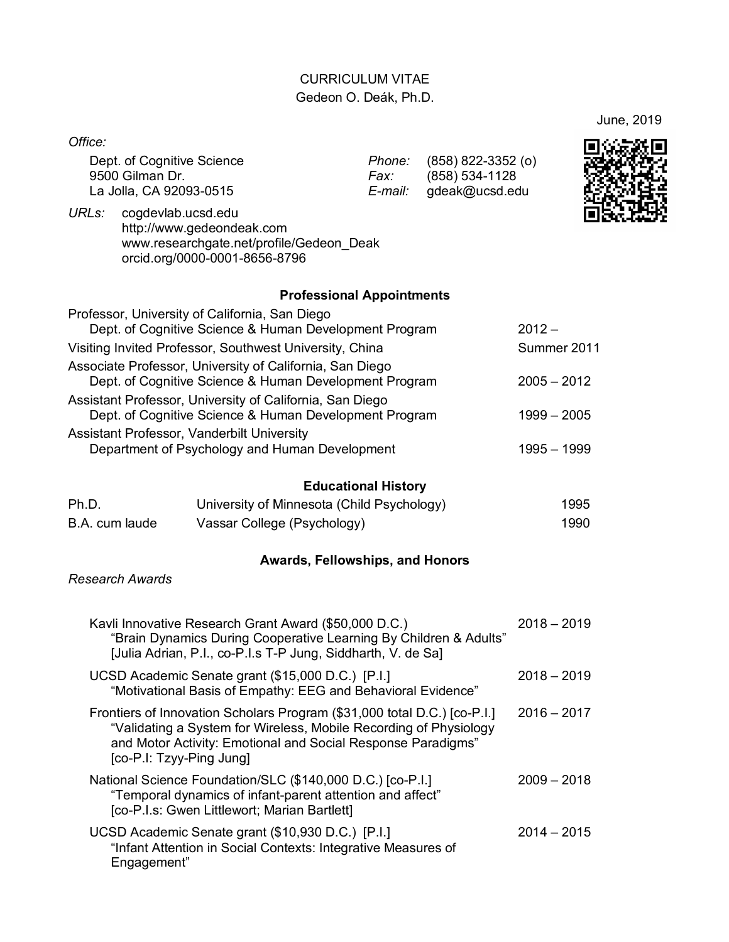# CURRICULUM VITAE Gedeon O. Deák, Ph.D.

June, 2019

*Office:*

Dept. of Cognitive Science *Phone:* (858) 822-3352 (o) La Jolla, CA 92093-0515

Fax: (858) 534-1128<br>*E-mail:* gdeak@ucsd.edu



*URLs:* cogdevlab.ucsd.edu http://www.gedeondeak.com www.researchgate.net/profile/Gedeon\_Deak orcid.org/0000-0001-8656-8796

## **Professional Appointments**

| Professor, University of California, San Diego                                                                     |               |
|--------------------------------------------------------------------------------------------------------------------|---------------|
| Dept. of Cognitive Science & Human Development Program                                                             | $2012 -$      |
| Visiting Invited Professor, Southwest University, China                                                            | Summer 2011   |
| Associate Professor, University of California, San Diego<br>Dept. of Cognitive Science & Human Development Program | $2005 - 2012$ |
| Assistant Professor, University of California, San Diego<br>Dept. of Cognitive Science & Human Development Program | $1999 - 2005$ |
| Assistant Professor, Vanderbilt University<br>Department of Psychology and Human Development                       | $1995 - 1999$ |
|                                                                                                                    |               |

# **Educational History**

| Ph.D.          | University of Minnesota (Child Psychology) | 1995 |
|----------------|--------------------------------------------|------|
| B.A. cum laude | Vassar College (Psychology)                | 1990 |

#### **Awards, Fellowships, and Honors**

*Research Awards*

| Kavli Innovative Research Grant Award (\$50,000 D.C.)<br>"Brain Dynamics During Cooperative Learning By Children & Adults"<br>[Julia Adrian, P.I., co-P.I.s T-P Jung, Siddharth, V. de Sa]                                                | $2018 - 2019$ |
|-------------------------------------------------------------------------------------------------------------------------------------------------------------------------------------------------------------------------------------------|---------------|
| UCSD Academic Senate grant (\$15,000 D.C.) [P.I.]<br>"Motivational Basis of Empathy: EEG and Behavioral Evidence"                                                                                                                         | $2018 - 2019$ |
| Frontiers of Innovation Scholars Program (\$31,000 total D.C.) [co-P.I.]<br>"Validating a System for Wireless, Mobile Recording of Physiology<br>and Motor Activity: Emotional and Social Response Paradigms"<br>[co-P.I: Tzyy-Ping Jung] | $2016 - 2017$ |
| National Science Foundation/SLC (\$140,000 D.C.) [co-P.I.]<br>"Temporal dynamics of infant-parent attention and affect"<br>[co-P.I.s: Gwen Littlewort; Marian Bartlett]                                                                   | $2009 - 2018$ |
| UCSD Academic Senate grant (\$10,930 D.C.) [P.I.]<br>"Infant Attention in Social Contexts: Integrative Measures of<br>Engagement"                                                                                                         | $2014 - 2015$ |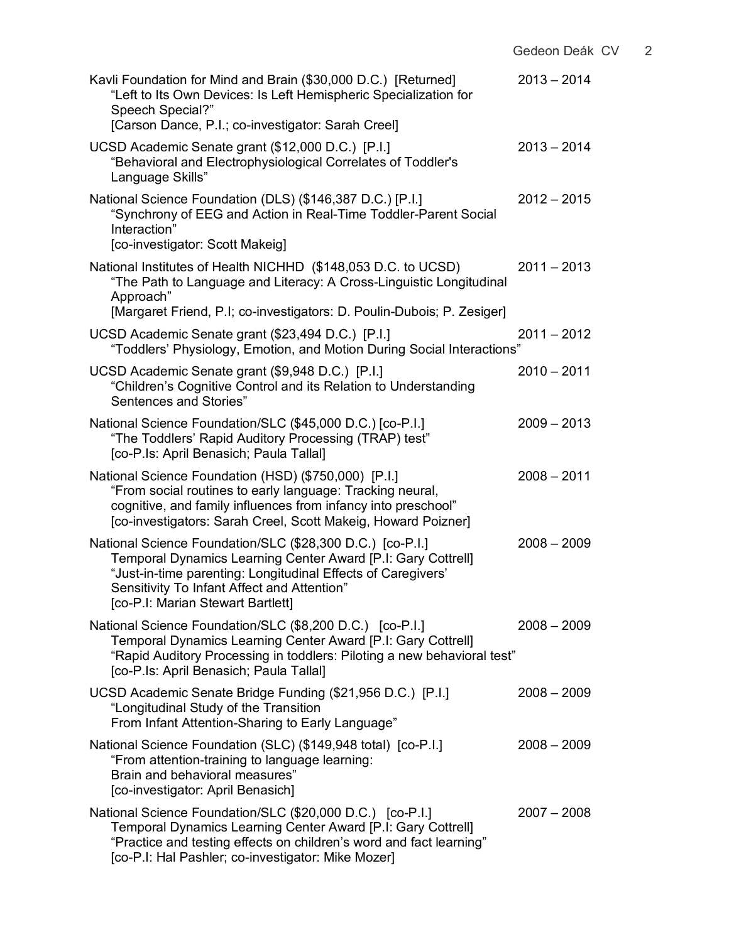| Kavli Foundation for Mind and Brain (\$30,000 D.C.) [Returned]<br>"Left to Its Own Devices: Is Left Hemispheric Specialization for<br>Speech Special?"<br>[Carson Dance, P.I.; co-investigator: Sarah Creel]                                                                  | $2013 - 2014$ |
|-------------------------------------------------------------------------------------------------------------------------------------------------------------------------------------------------------------------------------------------------------------------------------|---------------|
| UCSD Academic Senate grant (\$12,000 D.C.) [P.I.]<br>"Behavioral and Electrophysiological Correlates of Toddler's<br>Language Skills"                                                                                                                                         | $2013 - 2014$ |
| National Science Foundation (DLS) (\$146,387 D.C.) [P.I.]<br>"Synchrony of EEG and Action in Real-Time Toddler-Parent Social<br>Interaction"<br>[co-investigator: Scott Makeig]                                                                                               | $2012 - 2015$ |
| National Institutes of Health NICHHD (\$148,053 D.C. to UCSD)<br>"The Path to Language and Literacy: A Cross-Linguistic Longitudinal<br>Approach"                                                                                                                             | $2011 - 2013$ |
| [Margaret Friend, P.I; co-investigators: D. Poulin-Dubois; P. Zesiger]                                                                                                                                                                                                        |               |
| UCSD Academic Senate grant (\$23,494 D.C.) [P.I.]<br>"Toddlers' Physiology, Emotion, and Motion During Social Interactions"                                                                                                                                                   | $2011 - 2012$ |
| UCSD Academic Senate grant (\$9,948 D.C.) [P.I.]<br>"Children's Cognitive Control and its Relation to Understanding<br>Sentences and Stories"                                                                                                                                 | $2010 - 2011$ |
| National Science Foundation/SLC (\$45,000 D.C.) [co-P.I.]<br>"The Toddlers' Rapid Auditory Processing (TRAP) test"<br>[co-P.Is: April Benasich; Paula Tallal]                                                                                                                 | $2009 - 2013$ |
| National Science Foundation (HSD) (\$750,000) [P.I.]<br>"From social routines to early language: Tracking neural,<br>cognitive, and family influences from infancy into preschool"<br>[co-investigators: Sarah Creel, Scott Makeig, Howard Poizner]                           | $2008 - 2011$ |
| National Science Foundation/SLC (\$28,300 D.C.) [co-P.I.]<br>Temporal Dynamics Learning Center Award [P.I: Gary Cottrell]<br>"Just-in-time parenting: Longitudinal Effects of Caregivers"<br>Sensitivity To Infant Affect and Attention"<br>[co-P.I: Marian Stewart Bartlett] | $2008 - 2009$ |
| National Science Foundation/SLC (\$8,200 D.C.) [co-P.I.]<br>Temporal Dynamics Learning Center Award [P.I: Gary Cottrell]<br>"Rapid Auditory Processing in toddlers: Piloting a new behavioral test"<br>[co-P.Is: April Benasich; Paula Tallal]                                | $2008 - 2009$ |
| UCSD Academic Senate Bridge Funding (\$21,956 D.C.) [P.I.]<br>"Longitudinal Study of the Transition<br>From Infant Attention-Sharing to Early Language"                                                                                                                       | $2008 - 2009$ |
| National Science Foundation (SLC) (\$149,948 total) [co-P.I.]<br>"From attention-training to language learning:<br>Brain and behavioral measures"<br>[co-investigator: April Benasich]                                                                                        | $2008 - 2009$ |
| National Science Foundation/SLC (\$20,000 D.C.) [co-P.I.]<br>Temporal Dynamics Learning Center Award [P.I: Gary Cottrell]<br>"Practice and testing effects on children's word and fact learning"<br>[co-P.I: Hal Pashler; co-investigator: Mike Mozer]                        | $2007 - 2008$ |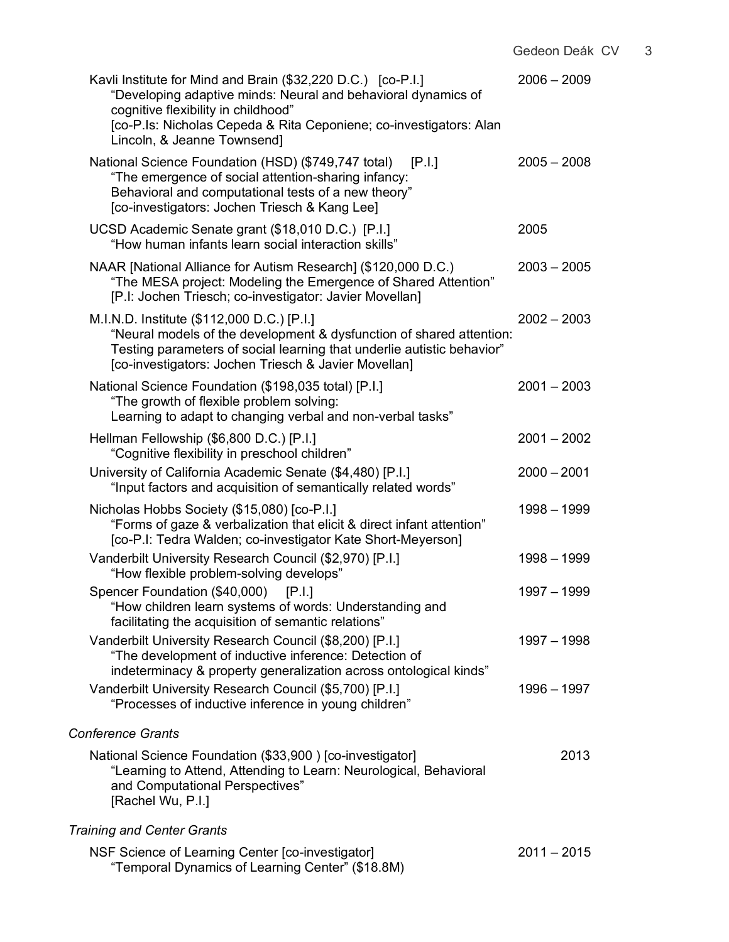| Kavli Institute for Mind and Brain (\$32,220 D.C.) [co-P.I.]<br>"Developing adaptive minds: Neural and behavioral dynamics of<br>cognitive flexibility in childhood"<br>[co-P.Is: Nicholas Cepeda & Rita Ceponiene; co-investigators: Alan<br>Lincoln, & Jeanne Townsend] | $2006 - 2009$ |
|---------------------------------------------------------------------------------------------------------------------------------------------------------------------------------------------------------------------------------------------------------------------------|---------------|
| National Science Foundation (HSD) (\$749,747 total)<br>[P.I.]<br>"The emergence of social attention-sharing infancy:<br>Behavioral and computational tests of a new theory"<br>[co-investigators: Jochen Triesch & Kang Lee]                                              | $2005 - 2008$ |
| UCSD Academic Senate grant (\$18,010 D.C.) [P.I.]<br>"How human infants learn social interaction skills"                                                                                                                                                                  | 2005          |
| NAAR [National Alliance for Autism Research] (\$120,000 D.C.)<br>"The MESA project: Modeling the Emergence of Shared Attention"<br>[P.I: Jochen Triesch; co-investigator: Javier Movellan]                                                                                | $2003 - 2005$ |
| M.I.N.D. Institute (\$112,000 D.C.) [P.I.]<br>"Neural models of the development & dysfunction of shared attention:<br>Testing parameters of social learning that underlie autistic behavior"<br>[co-investigators: Jochen Triesch & Javier Movellan]                      | $2002 - 2003$ |
| National Science Foundation (\$198,035 total) [P.I.]<br>"The growth of flexible problem solving:<br>Learning to adapt to changing verbal and non-verbal tasks"                                                                                                            | $2001 - 2003$ |
| Hellman Fellowship (\$6,800 D.C.) [P.I.]<br>"Cognitive flexibility in preschool children"                                                                                                                                                                                 | $2001 - 2002$ |
| University of California Academic Senate (\$4,480) [P.I.]<br>"Input factors and acquisition of semantically related words"                                                                                                                                                | $2000 - 2001$ |
| Nicholas Hobbs Society (\$15,080) [co-P.I.]<br>"Forms of gaze & verbalization that elicit & direct infant attention"<br>[co-P.I: Tedra Walden; co-investigator Kate Short-Meyerson]                                                                                       | 1998 - 1999   |
| Vanderbilt University Research Council (\$2,970) [P.I.]<br>"How flexible problem-solving develops"                                                                                                                                                                        | $1998 - 1999$ |
| Spencer Foundation (\$40,000) [P.I.]<br>"How children learn systems of words: Understanding and<br>facilitating the acquisition of semantic relations"                                                                                                                    | $1997 - 1999$ |
| Vanderbilt University Research Council (\$8,200) [P.I.]<br>"The development of inductive inference: Detection of<br>indeterminacy & property generalization across ontological kinds"                                                                                     | 1997 - 1998   |
| Vanderbilt University Research Council (\$5,700) [P.I.]<br>"Processes of inductive inference in young children"                                                                                                                                                           | 1996 - 1997   |
| <b>Conference Grants</b>                                                                                                                                                                                                                                                  |               |
| National Science Foundation (\$33,900) [co-investigator]<br>"Learning to Attend, Attending to Learn: Neurological, Behavioral<br>and Computational Perspectives"<br>[Rachel Wu, P.I.]                                                                                     | 2013          |
| <b>Training and Center Grants</b>                                                                                                                                                                                                                                         |               |
| NSF Science of Learning Center [co-investigator]                                                                                                                                                                                                                          | $2011 - 2015$ |

"Temporal Dynamics of Learning Center" (\$18.8M)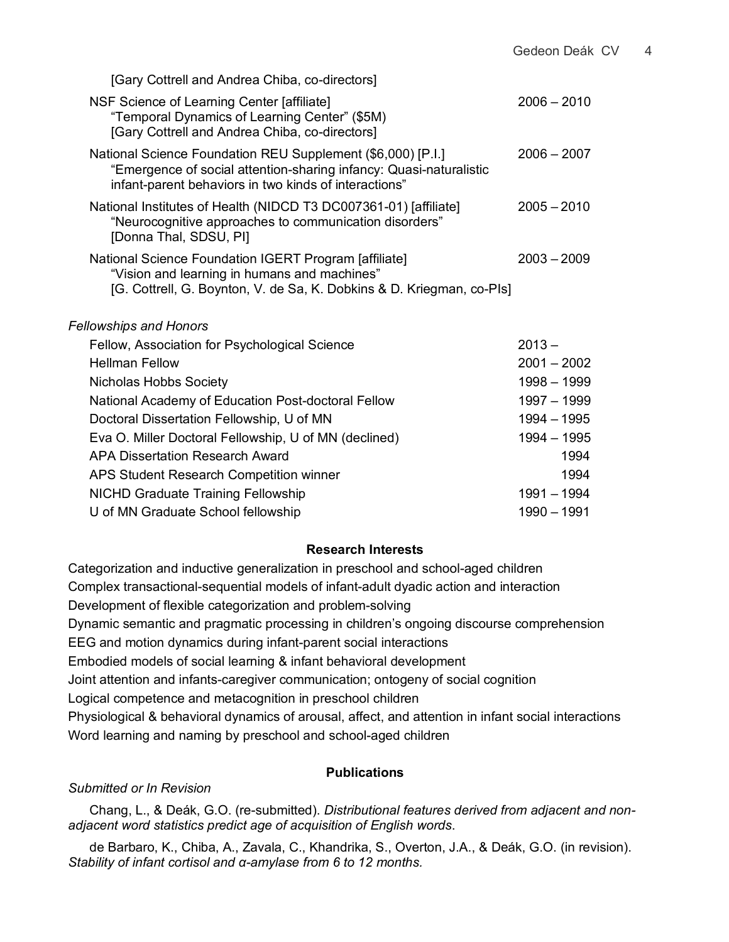[Gary Cottrell and Andrea Chiba, co-directors]

| NSF Science of Learning Center [affiliate]<br>"Temporal Dynamics of Learning Center" (\$5M)<br>[Gary Cottrell and Andrea Chiba, co-directors]                                              | $2006 - 2010$ |
|--------------------------------------------------------------------------------------------------------------------------------------------------------------------------------------------|---------------|
| National Science Foundation REU Supplement (\$6,000) [P.I.]<br>"Emergence of social attention-sharing infancy: Quasi-naturalistic<br>infant-parent behaviors in two kinds of interactions" | $2006 - 2007$ |
| National Institutes of Health (NIDCD T3 DC007361-01) [affiliate]<br>"Neurocognitive approaches to communication disorders"<br>[Donna Thal, SDSU, PI]                                       | $2005 - 2010$ |
| National Science Foundation IGERT Program [affiliate]<br>"Vision and learning in humans and machines"<br>[G. Cottrell, G. Boynton, V. de Sa, K. Dobkins & D. Kriegman, co-PIs]             | $2003 - 2009$ |
|                                                                                                                                                                                            |               |

### *Fellowships and Honors*

| Fellow, Association for Psychological Science         | $2013 -$      |
|-------------------------------------------------------|---------------|
| <b>Hellman Fellow</b>                                 | $2001 - 2002$ |
| Nicholas Hobbs Society                                | 1998 - 1999   |
| National Academy of Education Post-doctoral Fellow    | 1997 - 1999   |
| Doctoral Dissertation Fellowship, U of MN             | $1994 - 1995$ |
| Eva O. Miller Doctoral Fellowship, U of MN (declined) | 1994 – 1995   |
| APA Dissertation Research Award                       | 1994          |
| APS Student Research Competition winner               | 1994          |
| <b>NICHD Graduate Training Fellowship</b>             | $1991 - 1994$ |
| U of MN Graduate School fellowship                    | 1990 - 1991   |
|                                                       |               |

## **Research Interests**

Categorization and inductive generalization in preschool and school-aged children Complex transactional-sequential models of infant-adult dyadic action and interaction Development of flexible categorization and problem-solving Dynamic semantic and pragmatic processing in children's ongoing discourse comprehension EEG and motion dynamics during infant-parent social interactions Embodied models of social learning & infant behavioral development Joint attention and infants-caregiver communication; ontogeny of social cognition Logical competence and metacognition in preschool children Physiological & behavioral dynamics of arousal, affect, and attention in infant social interactions Word learning and naming by preschool and school-aged children

## **Publications**

# *Submitted or In Revision*

Chang, L., & Deák, G.O. (re-submitted). *Distributional features derived from adjacent and nonadjacent word statistics predict age of acquisition of English words*.

de Barbaro, K., Chiba, A., Zavala, C., Khandrika, S., Overton, J.A., & Deák, G.O. (in revision). *Stability of infant cortisol and α-amylase from 6 to 12 months.*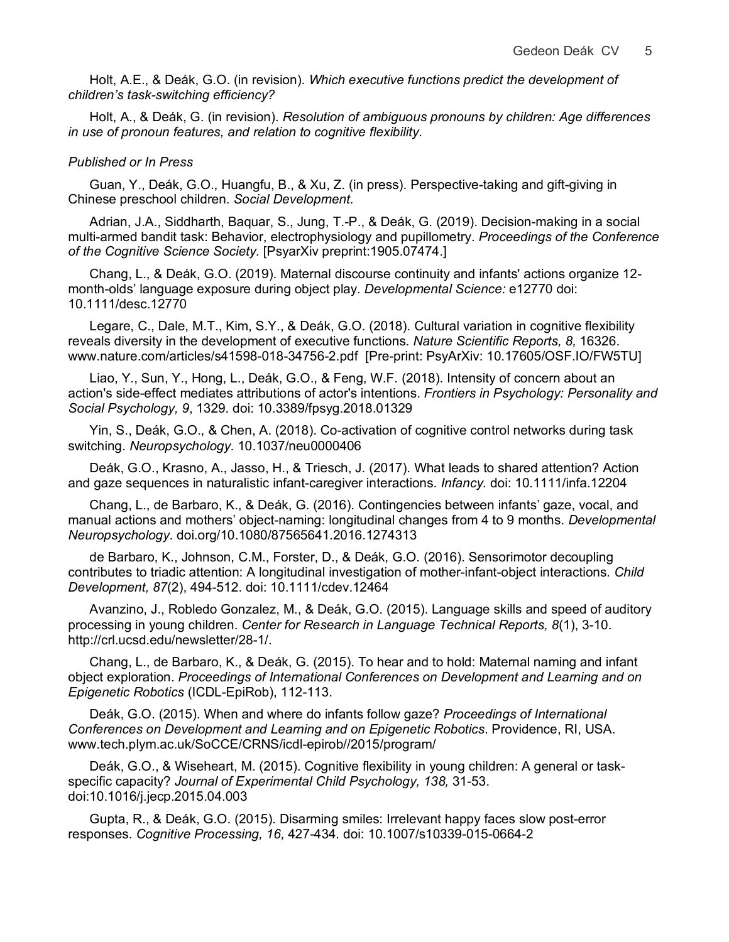Holt, A.E., & Deák, G.O. (in revision). *Which executive functions predict the development of children's task-switching efficiency?*

Holt, A., & Deák, G. (in revision). *Resolution of ambiguous pronouns by children: Age differences in use of pronoun features, and relation to cognitive flexibility.*

#### *Published or In Press*

Guan, Y., Deák, G.O., Huangfu, B., & Xu, Z. (in press). Perspective-taking and gift-giving in Chinese preschool children*. Social Development.*

Adrian, J.A., Siddharth, Baquar, S., Jung, T.-P., & Deák, G. (2019). Decision-making in a social multi-armed bandit task: Behavior, electrophysiology and pupillometry. *Proceedings of the Conference of the Cognitive Science Society.* [PsyarXiv preprint:1905.07474.]

Chang, L., & Deák, G.O. (2019). Maternal discourse continuity and infants' actions organize 12 month-olds' language exposure during object play. *Developmental Science:* e12770 doi: 10.1111/desc.12770

Legare, C., Dale, M.T., Kim, S.Y., & Deák, G.O. (2018). Cultural variation in cognitive flexibility reveals diversity in the development of executive functions. *Nature Scientific Reports, 8,* 16326. www.nature.com/articles/s41598-018-34756-2.pdf [Pre-print: PsyArXiv: 10.17605/OSF.IO/FW5TU]

Liao, Y., Sun, Y., Hong, L., Deák, G.O., & Feng, W.F. (2018). Intensity of concern about an action's side-effect mediates attributions of actor's intentions. *Frontiers in Psychology: Personality and Social Psychology, 9*, 1329*.* doi: 10.3389/fpsyg.2018.01329

Yin, S., Deák, G.O., & Chen, A. (2018). Co-activation of cognitive control networks during task switching. *Neuropsychology.* 10.1037/neu0000406

Deák, G.O., Krasno, A., Jasso, H., & Triesch, J. (2017). What leads to shared attention? Action and gaze sequences in naturalistic infant-caregiver interactions. *Infancy.* doi: 10.1111/infa.12204

Chang, L., de Barbaro, K., & Deák, G. (2016). Contingencies between infants' gaze, vocal, and manual actions and mothers' object-naming: longitudinal changes from 4 to 9 months. *Developmental Neuropsychology*. doi.org/10.1080/87565641.2016.1274313

de Barbaro, K., Johnson, C.M., Forster, D., & Deák, G.O. (2016). Sensorimotor decoupling contributes to triadic attention: A longitudinal investigation of mother-infant-object interactions*. Child Development, 87*(2), 494-512. doi: 10.1111/cdev.12464

Avanzino, J., Robledo Gonzalez, M., & Deák, G.O. (2015). Language skills and speed of auditory processing in young children. *Center for Research in Language Technical Reports, 8*(1), 3-10. http://crl.ucsd.edu/newsletter/28-1/.

Chang, L., de Barbaro, K., & Deák, G. (2015). To hear and to hold: Maternal naming and infant object exploration. *Proceedings of International Conferences on Development and Learning and on Epigenetic Robotics* (ICDL-EpiRob), 112-113.

Deák, G.O. (2015). When and where do infants follow gaze? *Proceedings of International Conferences on Development and Learning and on Epigenetic Robotics*. Providence, RI, USA. www.tech.plym.ac.uk/SoCCE/CRNS/icdl-epirob//2015/program/

Deák, G.O., & Wiseheart, M. (2015). Cognitive flexibility in young children: A general or taskspecific capacity? *Journal of Experimental Child Psychology, 138,* 31-53. doi:10.1016/j.jecp.2015.04.003

Gupta, R., & Deák, G.O. (2015). Disarming smiles: Irrelevant happy faces slow post-error responses. *Cognitive Processing, 16,* 427-434*.* doi: 10.1007/s10339-015-0664-2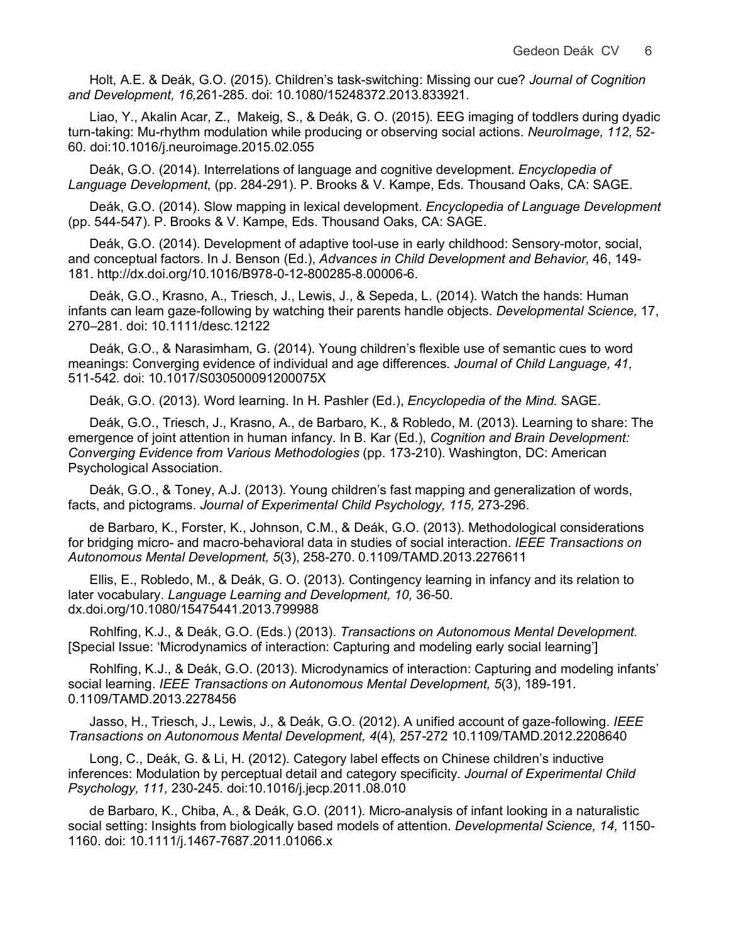Holt, A.E. & Deák, G.O. (2015). Children's task-switching: Missing our cue? *Journal of Cognition and Development, 16,*261-285. doi: 10.1080/15248372.2013.833921.

Liao, Y., Akalin Acar, Z., Makeig, S., & Deák, G. O. (2015). EEG imaging of toddlers during dyadic turn-taking: Mu-rhythm modulation while producing or observing social actions. *NeuroImage, 112,* 52- 60*.* doi:10.1016/j.neuroimage.2015.02.055

Deák, G.O. (2014). Interrelations of language and cognitive development. *Encyclopedia of Language Development*, (pp. 284-291). P. Brooks & V. Kampe, Eds. Thousand Oaks, CA: SAGE.

Deák, G.O. (2014). Slow mapping in lexical development. *Encyclopedia of Language Development* (pp. 544-547). P. Brooks & V. Kampe, Eds. Thousand Oaks, CA: SAGE.

Deák, G.O. (2014). Development of adaptive tool-use in early childhood: Sensory-motor, social, and conceptual factors. In J. Benson (Ed.), *Advances in Child Development and Behavior,* 46, 149- 181. http://dx.doi.org/10.1016/B978-0-12-800285-8.00006-6.

Deák, G.O., Krasno, A., Triesch, J., Lewis, J., & Sepeda, L. (2014). Watch the hands: Human infants can learn gaze-following by watching their parents handle objects. *Developmental Science,* 17, 270–281. doi: 10.1111/desc.12122

Deák, G.O., & Narasimham, G. (2014). Young children's flexible use of semantic cues to word meanings: Converging evidence of individual and age differences*. Journal of Child Language, 41,* 511-542*.* doi: 10.1017/S030500091200075X

Deák, G.O. (2013). Word learning. In H. Pashler (Ed.), *Encyclopedia of the Mind.* SAGE.

Deák, G.O., Triesch, J., Krasno, A., de Barbaro, K., & Robledo, M. (2013). Learning to share: The emergence of joint attention in human infancy. In B. Kar (Ed.), *Cognition and Brain Development: Converging Evidence from Various Methodologies* (pp. 173-210). Washington, DC: American Psychological Association.

Deák, G.O., & Toney, A.J. (2013). Young children's fast mapping and generalization of words, facts, and pictograms. *Journal of Experimental Child Psychology, 115,* 273-296*.*

de Barbaro, K., Forster, K., Johnson, C.M., & Deák, G.O. (2013). Methodological considerations for bridging micro- and macro-behavioral data in studies of social interaction. *IEEE Transactions on Autonomous Mental Development, 5*(3), 258-270. 0.1109/TAMD.2013.2276611

Ellis, E., Robledo, M., & Deák, G. O. (2013). Contingency learning in infancy and its relation to later vocabulary. *Language Learning and Development, 10,* 36-50*.* dx.doi.org/10.1080/15475441.2013.799988

Rohlfing, K.J., & Deák, G.O. (Eds.) (2013). *Transactions on Autonomous Mental Development.* [Special Issue: 'Microdynamics of interaction: Capturing and modeling early social learning']

Rohlfing, K.J., & Deák, G.O. (2013). Microdynamics of interaction: Capturing and modeling infants' social learning. *IEEE Transactions on Autonomous Mental Development, 5*(3), 189-191. 0.1109/TAMD.2013.2278456

Jasso, H., Triesch, J., Lewis, J., & Deák, G.O. (2012). A unified account of gaze-following. *IEEE Transactions on Autonomous Mental Development, 4*(4)*,* 257-272 10.1109/TAMD.2012.2208640

Long, C., Deák, G. & Li, H. (2012). Category label effects on Chinese children's inductive inferences: Modulation by perceptual detail and category specificity. *Journal of Experimental Child Psychology, 111,* 230-245*.* doi:10.1016/j.jecp.2011.08.010

de Barbaro, K., Chiba, A., & Deák, G.O. (2011). Micro-analysis of infant looking in a naturalistic social setting: Insights from biologically based models of attention. *Developmental Science, 14,* 1150- 1160. doi: 10.1111/j.1467-7687.2011.01066.x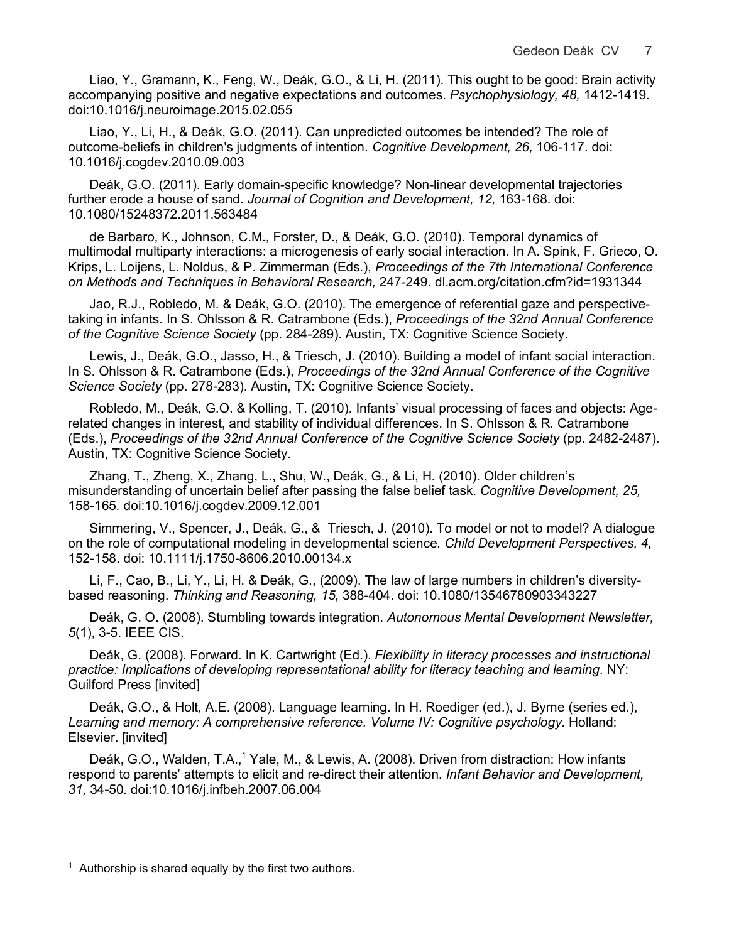Liao, Y., Gramann, K., Feng, W., Deák, G.O., & Li, H. (2011). This ought to be good: Brain activity accompanying positive and negative expectations and outcomes. *Psychophysiology, 48,* 1412-1419*.* doi:10.1016/j.neuroimage.2015.02.055

Liao, Y., Li, H., & Deák, G.O. (2011). Can unpredicted outcomes be intended? The role of outcome-beliefs in children's judgments of intention. *Cognitive Development, 26,* 106-117. doi: 10.1016/j.cogdev.2010.09.003

Deák, G.O. (2011). Early domain-specific knowledge? Non-linear developmental trajectories further erode a house of sand. *Journal of Cognition and Development, 12,* 163-168. doi: 10.1080/15248372.2011.563484

de Barbaro, K., Johnson, C.M., Forster, D., & Deák, G.O. (2010). Temporal dynamics of multimodal multiparty interactions: a microgenesis of early social interaction. In A. Spink, F. Grieco, O. Krips, L. Loijens, L. Noldus, & P. Zimmerman (Eds.), *Proceedings of the 7th International Conference on Methods and Techniques in Behavioral Research,* 247-249. dl.acm.org/citation.cfm?id=1931344

Jao, R.J., Robledo, M. & Deák, G.O. (2010). The emergence of referential gaze and perspectivetaking in infants. In S. Ohlsson & R. Catrambone (Eds.), *Proceedings of the 32nd Annual Conference of the Cognitive Science Society* (pp. 284-289). Austin, TX: Cognitive Science Society.

Lewis, J., Deák, G.O., Jasso, H., & Triesch, J. (2010). Building a model of infant social interaction. In S. Ohlsson & R. Catrambone (Eds.), *Proceedings of the 32nd Annual Conference of the Cognitive Science Society* (pp. 278-283). Austin, TX: Cognitive Science Society.

Robledo, M., Deák, G.O. & Kolling, T. (2010). Infants' visual processing of faces and objects: Agerelated changes in interest, and stability of individual differences. In S. Ohlsson & R. Catrambone (Eds.), *Proceedings of the 32nd Annual Conference of the Cognitive Science Society* (pp. 2482-2487). Austin, TX: Cognitive Science Society.

Zhang, T., Zheng, X., Zhang, L., Shu, W., Deák, G., & Li, H. (2010). Older children's misunderstanding of uncertain belief after passing the false belief task. *Cognitive Development, 25,*  158-165*.* doi:10.1016/j.cogdev.2009.12.001

Simmering, V., Spencer, J., Deák, G., & Triesch, J. (2010). To model or not to model? A dialogue on the role of computational modeling in developmental science*. Child Development Perspectives, 4,* 152-158. doi: 10.1111/j.1750-8606.2010.00134.x

Li, F., Cao, B., Li, Y., Li, H. & Deák, G., (2009). The law of large numbers in children's diversitybased reasoning. *Thinking and Reasoning, 15,* 388-404. doi: 10.1080/13546780903343227

Deák, G. O. (2008). Stumbling towards integration. *Autonomous Mental Development Newsletter, 5*(1), 3-5. IEEE CIS.

Deák, G. (2008). Forward. In K. Cartwright (Ed.). *Flexibility in literacy processes and instructional practice: Implications of developing representational ability for literacy teaching and learning*. NY: Guilford Press [invited]

Deák, G.O., & Holt, A.E. (2008). Language learning. In H. Roediger (ed.), J. Byrne (series ed.), *Learning and memory: A comprehensive reference. Volume IV: Cognitive psychology.* Holland: Elsevier. [invited]

Deák, G.O., Walden, T.A.,<sup>1</sup> Yale, M., & Lewis, A. (2008). Driven from distraction: How infants respond to parents' attempts to elicit and re-direct their attention. *Infant Behavior and Development, 31,* 34-50*.* doi:10.1016/j.infbeh.2007.06.004

 $\overline{a}$ 

 $1$  Authorship is shared equally by the first two authors.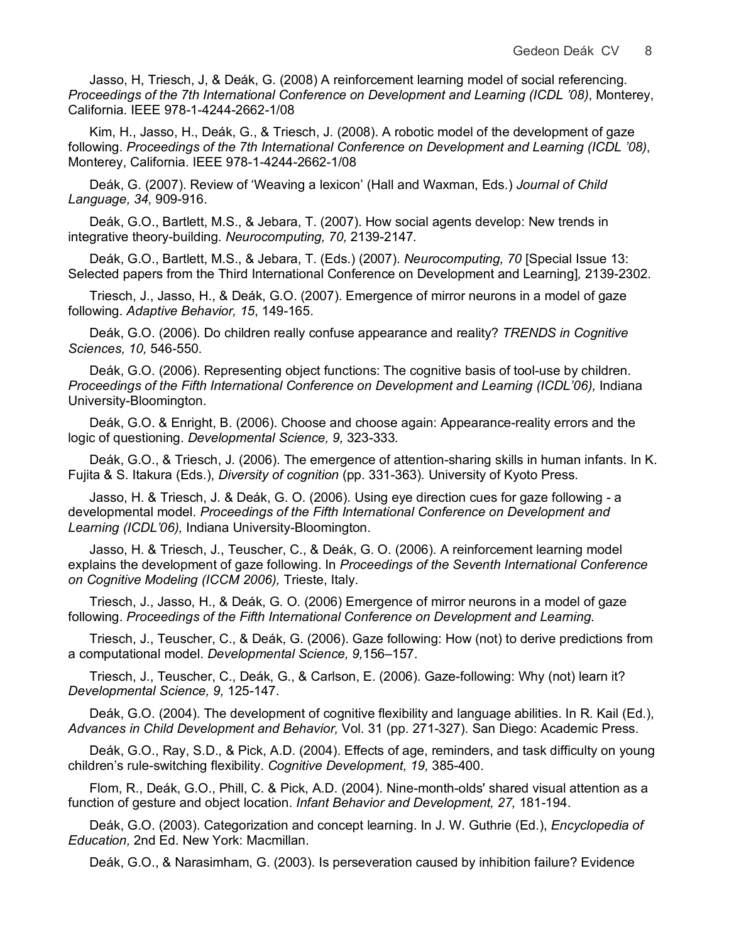Jasso, H, Triesch, J, & Deák, G. (2008) A reinforcement learning model of social referencing. *Proceedings of the 7th International Conference on Development and Learning (ICDL '08)*, Monterey, California. IEEE 978-1-4244-2662-1/08

Kim, H., Jasso, H., Deák, G., & Triesch, J. (2008). A robotic model of the development of gaze following. *Proceedings of the 7th International Conference on Development and Learning (ICDL '08)*, Monterey, California. IEEE 978-1-4244-2662-1/08

Deák, G. (2007). Review of 'Weaving a lexicon' (Hall and Waxman, Eds.) *Journal of Child Language, 34,* 909-916.

Deák, G.O., Bartlett, M.S., & Jebara, T. (2007). How social agents develop: New trends in integrative theory-building. *Neurocomputing, 70,* 2139-2147*.*

Deák, G.O., Bartlett, M.S., & Jebara, T. (Eds.) (2007). *Neurocomputing, 70* [Special Issue 13: Selected papers from the Third International Conference on Development and Learning]*,* 2139-2302*.*

Triesch, J., Jasso, H., & Deák, G.O. (2007). Emergence of mirror neurons in a model of gaze following. *Adaptive Behavior, 15*, 149-165.

Deák, G.O. (2006). Do children really confuse appearance and reality? *TRENDS in Cognitive Sciences, 10,* 546-550*.*

Deák, G.O. (2006). Representing object functions: The cognitive basis of tool-use by children. *Proceedings of the Fifth International Conference on Development and Learning (ICDL'06),* Indiana University-Bloomington.

Deák, G.O. & Enright, B. (2006). Choose and choose again: Appearance-reality errors and the logic of questioning. *Developmental Science, 9,* 323-333*.*

Deák, G.O., & Triesch, J. (2006). The emergence of attention-sharing skills in human infants. In K. Fujita & S. Itakura (Eds.), *Diversity of cognition* (pp. 331-363)*.* University of Kyoto Press.

Jasso, H. & Triesch, J. & Deák, G. O. (2006). Using eye direction cues for gaze following - a developmental model. *Proceedings of the Fifth International Conference on Development and Learning (ICDL'06),* Indiana University-Bloomington.

Jasso, H. & Triesch, J., Teuscher, C., & Deák, G. O. (2006). A reinforcement learning model explains the development of gaze following. In *Proceedings of the Seventh International Conference on Cognitive Modeling (ICCM 2006),* Trieste, Italy.

Triesch, J., Jasso, H., & Deák, G. O. (2006) Emergence of mirror neurons in a model of gaze following. *Proceedings of the Fifth International Conference on Development and Learning*.

Triesch, J., Teuscher, C., & Deák, G. (2006). Gaze following: How (not) to derive predictions from a computational model. *Developmental Science, 9,*156–157.

Triesch, J., Teuscher, C., Deák, G., & Carlson, E. (2006). Gaze-following: Why (not) learn it? *Developmental Science, 9,* 125-147.

Deák, G.O. (2004). The development of cognitive flexibility and language abilities. In R. Kail (Ed.), *Advances in Child Development and Behavior,* Vol. 31 (pp. 271-327). San Diego: Academic Press.

Deák, G.O., Ray, S.D., & Pick, A.D. (2004). Effects of age, reminders, and task difficulty on young children's rule-switching flexibility. *Cognitive Development, 19,* 385-400.

Flom, R., Deák, G.O., Phill, C. & Pick, A.D. (2004). Nine-month-olds' shared visual attention as a function of gesture and object location. *Infant Behavior and Development, 27,* 181-194.

Deák, G.O. (2003). Categorization and concept learning. In J. W. Guthrie (Ed.), *Encyclopedia of Education,* 2nd Ed. New York: Macmillan.

Deák, G.O., & Narasimham, G. (2003). Is perseveration caused by inhibition failure? Evidence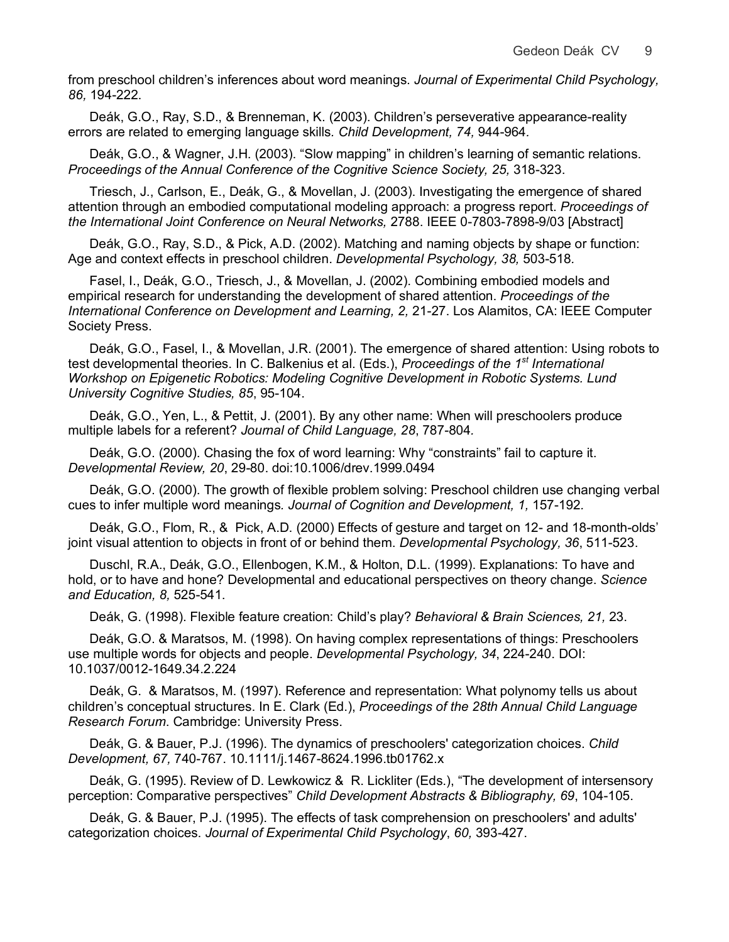from preschool children's inferences about word meanings. *Journal of Experimental Child Psychology, 86,* 194-222.

Deák, G.O., Ray, S.D., & Brenneman, K. (2003). Children's perseverative appearance-reality errors are related to emerging language skills*. Child Development, 74,* 944-964*.*

Deák, G.O., & Wagner, J.H. (2003). "Slow mapping" in children's learning of semantic relations. Proceedings of the Annual Conference of the Cognitive Science Society, 25, 318-323.

Triesch, J., Carlson, E., Deák, G., & Movellan, J. (2003). Investigating the emergence of shared attention through an embodied computational modeling approach: a progress report. *Proceedings of the International Joint Conference on Neural Networks,* 2788. IEEE 0-7803-7898-9/03 [Abstract]

Deák, G.O., Ray, S.D., & Pick, A.D. (2002). Matching and naming objects by shape or function: Age and context effects in preschool children. *Developmental Psychology, 38,* 503-518*.*

Fasel, I., Deák, G.O., Triesch, J., & Movellan, J. (2002). Combining embodied models and empirical research for understanding the development of shared attention. *Proceedings of the International Conference on Development and Learning, 2,* 21-27. Los Alamitos, CA: IEEE Computer Society Press.

Deák, G.O., Fasel, I., & Movellan, J.R. (2001). The emergence of shared attention: Using robots to test developmental theories. In C. Balkenius et al. (Eds.), *Proceedings of the 1st International Workshop on Epigenetic Robotics: Modeling Cognitive Development in Robotic Systems. Lund University Cognitive Studies, 85*, 95-104.

Deák, G.O., Yen, L., & Pettit, J. (2001). By any other name: When will preschoolers produce multiple labels for a referent? *Journal of Child Language, 28*, 787-804*.*

Deák, G.O. (2000). Chasing the fox of word learning: Why "constraints" fail to capture it. *Developmental Review, 20*, 29-80. doi:10.1006/drev.1999.0494

Deák, G.O. (2000). The growth of flexible problem solving: Preschool children use changing verbal cues to infer multiple word meanings*. Journal of Cognition and Development, 1,* 157-192*.*

Deák, G.O., Flom, R., & Pick, A.D. (2000) Effects of gesture and target on 12- and 18-month-olds' joint visual attention to objects in front of or behind them. *Developmental Psychology, 36*, 511-523.

Duschl, R.A., Deák, G.O., Ellenbogen, K.M., & Holton, D.L. (1999). Explanations: To have and hold, or to have and hone? Developmental and educational perspectives on theory change. *Science and Education, 8,* 525-541.

Deák, G. (1998). Flexible feature creation: Child's play? *Behavioral & Brain Sciences, 21,* 23.

Deák, G.O. & Maratsos, M. (1998). On having complex representations of things: Preschoolers use multiple words for objects and people. *Developmental Psychology, 34*, 224-240. DOI: 10.1037/0012-1649.34.2.224

Deák, G. & Maratsos, M. (1997). Reference and representation: What polynomy tells us about children's conceptual structures. In E. Clark (Ed.), *Proceedings of the 28th Annual Child Language Research Forum*. Cambridge: University Press.

Deák, G. & Bauer, P.J. (1996). The dynamics of preschoolers' categorization choices. *Child Development, 67,* 740-767. 10.1111/j.1467-8624.1996.tb01762.x

Deák, G. (1995). Review of D. Lewkowicz & R. Lickliter (Eds.), "The development of intersensory perception: Comparative perspectives" *Child Development Abstracts & Bibliography, 69*, 104-105.

Deák, G. & Bauer, P.J. (1995). The effects of task comprehension on preschoolers' and adults' categorization choices. *Journal of Experimental Child Psychology*, *60,* 393-427.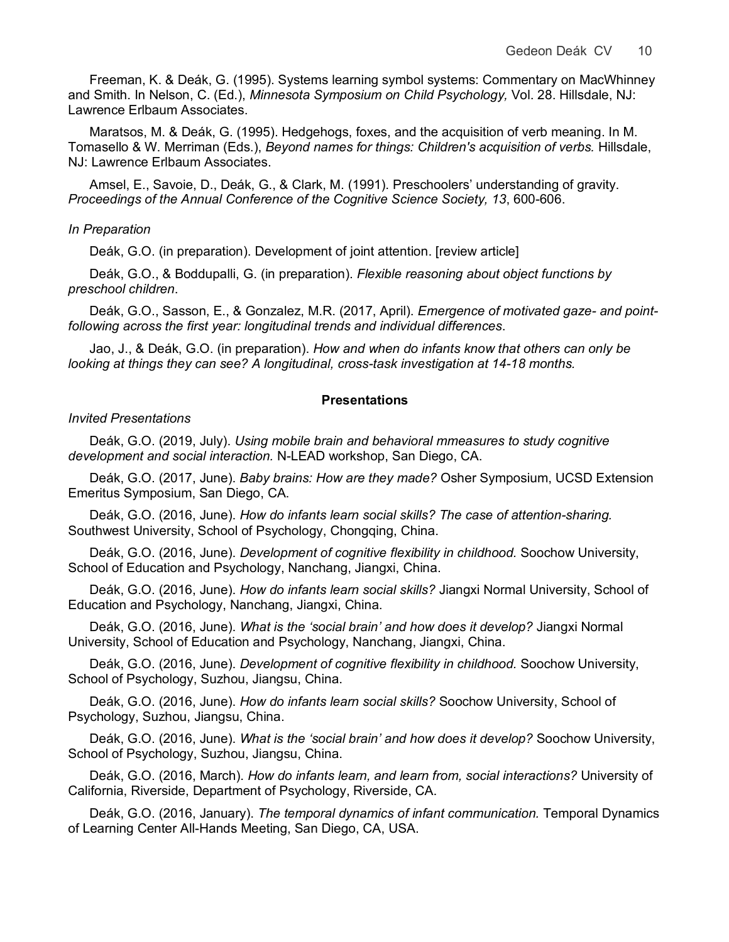Freeman, K. & Deák, G. (1995). Systems learning symbol systems: Commentary on MacWhinney and Smith. In Nelson, C. (Ed.), *Minnesota Symposium on Child Psychology,* Vol. 28. Hillsdale, NJ: Lawrence Erlbaum Associates.

Maratsos, M. & Deák, G. (1995). Hedgehogs, foxes, and the acquisition of verb meaning. In M. Tomasello & W. Merriman (Eds.), *Beyond names for things: Children's acquisition of verbs.* Hillsdale, NJ: Lawrence Erlbaum Associates.

Amsel, E., Savoie, D., Deák, G., & Clark, M. (1991). Preschoolers' understanding of gravity. *Proceedings of the Annual Conference of the Cognitive Science Society, 13*, 600-606.

### *In Preparation*

Deák, G.O. (in preparation). Development of joint attention. [review article]

Deák, G.O., & Boddupalli, G. (in preparation). *Flexible reasoning about object functions by preschool children*.

Deák, G.O., Sasson, E., & Gonzalez, M.R. (2017, April). *Emergence of motivated gaze- and pointfollowing across the first year: longitudinal trends and individual differences*.

Jao, J., & Deák, G.O. (in preparation). *How and when do infants know that others can only be looking at things they can see? A longitudinal, cross-task investigation at 14-18 months.* 

### **Presentations**

#### *Invited Presentations*

Deák, G.O. (2019, July). *Using mobile brain and behavioral mmeasures to study cognitive development and social interaction.* N-LEAD workshop, San Diego, CA.

Deák, G.O. (2017, June). *Baby brains: How are they made?* Osher Symposium, UCSD Extension Emeritus Symposium, San Diego, CA.

Deák, G.O. (2016, June). *How do infants learn social skills? The case of attention-sharing.* Southwest University, School of Psychology, Chongqing, China.

Deák, G.O. (2016, June). *Development of cognitive flexibility in childhood.* Soochow University, School of Education and Psychology, Nanchang, Jiangxi, China.

Deák, G.O. (2016, June). *How do infants learn social skills?* Jiangxi Normal University, School of Education and Psychology, Nanchang, Jiangxi, China.

Deák, G.O. (2016, June). *What is the 'social brain' and how does it develop?* Jiangxi Normal University, School of Education and Psychology, Nanchang, Jiangxi, China.

Deák, G.O. (2016, June). *Development of cognitive flexibility in childhood.* Soochow University, School of Psychology, Suzhou, Jiangsu, China.

Deák, G.O. (2016, June). *How do infants learn social skills?* Soochow University, School of Psychology, Suzhou, Jiangsu, China.

Deák, G.O. (2016, June). *What is the 'social brain' and how does it develop?* Soochow University, School of Psychology, Suzhou, Jiangsu, China.

Deák, G.O. (2016, March). *How do infants learn, and learn from, social interactions?* University of California, Riverside, Department of Psychology, Riverside, CA.

Deák, G.O. (2016, January). *The temporal dynamics of infant communication.* Temporal Dynamics of Learning Center All-Hands Meeting, San Diego, CA, USA.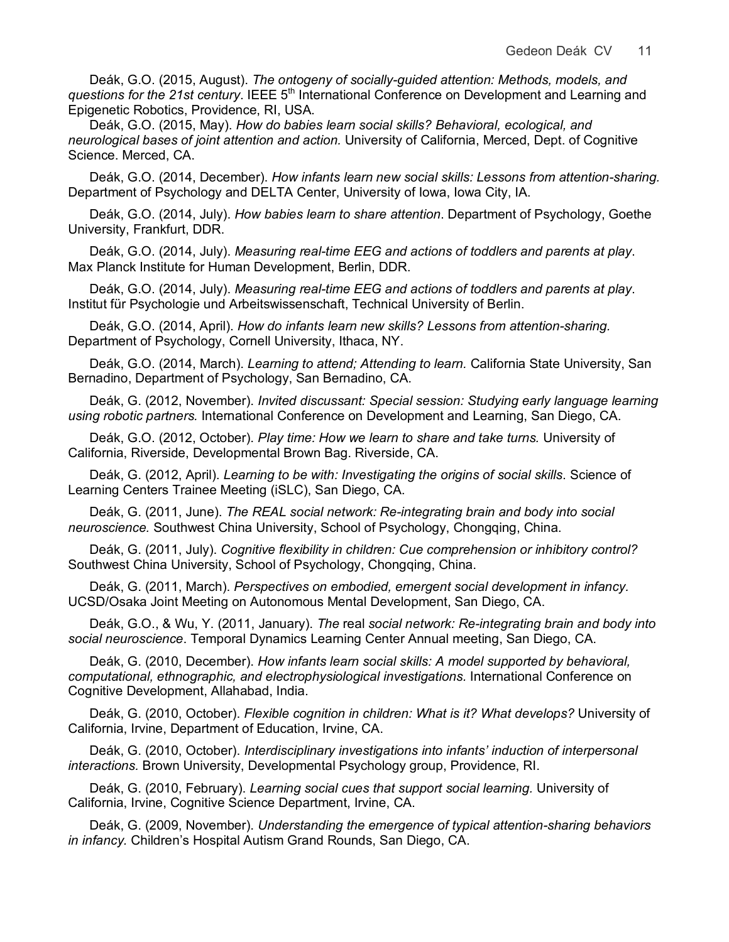Deák, G.O. (2015, August). *The ontogeny of socially-guided attention: Methods, models, and questions for the 21st century.* IEEE 5<sup>th</sup> International Conference on Development and Learning and Epigenetic Robotics, Providence, RI, USA.

Deák, G.O. (2015, May). *How do babies learn social skills? Behavioral, ecological, and neurological bases of joint attention and action.* University of California, Merced, Dept. of Cognitive Science. Merced, CA.

Deák, G.O. (2014, December). *How infants learn new social skills: Lessons from attention-sharing.* Department of Psychology and DELTA Center, University of Iowa, Iowa City, IA.

Deák, G.O. (2014, July). *How babies learn to share attention*. Department of Psychology, Goethe University, Frankfurt, DDR.

Deák, G.O. (2014, July). *Measuring real-time EEG and actions of toddlers and parents at play*. Max Planck Institute for Human Development, Berlin, DDR.

Deák, G.O. (2014, July). *Measuring real-time EEG and actions of toddlers and parents at play*. Institut für Psychologie und Arbeitswissenschaft, Technical University of Berlin.

Deák, G.O. (2014, April). *How do infants learn new skills? Lessons from attention-sharing.* Department of Psychology, Cornell University, Ithaca, NY.

Deák, G.O. (2014, March). *Learning to attend; Attending to learn.* California State University, San Bernadino, Department of Psychology, San Bernadino, CA.

Deák, G. (2012, November). *Invited discussant: Special session: Studying early language learning using robotic partners.* International Conference on Development and Learning, San Diego, CA.

Deák, G.O. (2012, October). *Play time: How we learn to share and take turns.* University of California, Riverside, Developmental Brown Bag. Riverside, CA.

Deák, G. (2012, April). *Learning to be with: Investigating the origins of social skills*. Science of Learning Centers Trainee Meeting (iSLC), San Diego, CA.

Deák, G. (2011, June). *The REAL social network: Re-integrating brain and body into social neuroscience.* Southwest China University, School of Psychology, Chongqing, China.

Deák, G. (2011, July). *Cognitive flexibility in children: Cue comprehension or inhibitory control?* Southwest China University, School of Psychology, Chongqing, China.

Deák, G. (2011, March). *Perspectives on embodied, emergent social development in infancy.* UCSD/Osaka Joint Meeting on Autonomous Mental Development, San Diego, CA.

Deák, G.O., & Wu, Y. (2011, January). *The* real *social network: Re-integrating brain and body into social neuroscience*. Temporal Dynamics Learning Center Annual meeting, San Diego, CA.

Deák, G. (2010, December). *How infants learn social skills: A model supported by behavioral, computational, ethnographic, and electrophysiological investigations.* International Conference on Cognitive Development, Allahabad, India.

Deák, G. (2010, October). *Flexible cognition in children: What is it? What develops?* University of California, Irvine, Department of Education, Irvine, CA.

Deák, G. (2010, October). *Interdisciplinary investigations into infants' induction of interpersonal interactions.* Brown University, Developmental Psychology group, Providence, RI.

Deák, G. (2010, February). *Learning social cues that support social learning.* University of California, Irvine, Cognitive Science Department, Irvine, CA.

Deák, G. (2009, November). *Understanding the emergence of typical attention-sharing behaviors in infancy.* Children's Hospital Autism Grand Rounds, San Diego, CA.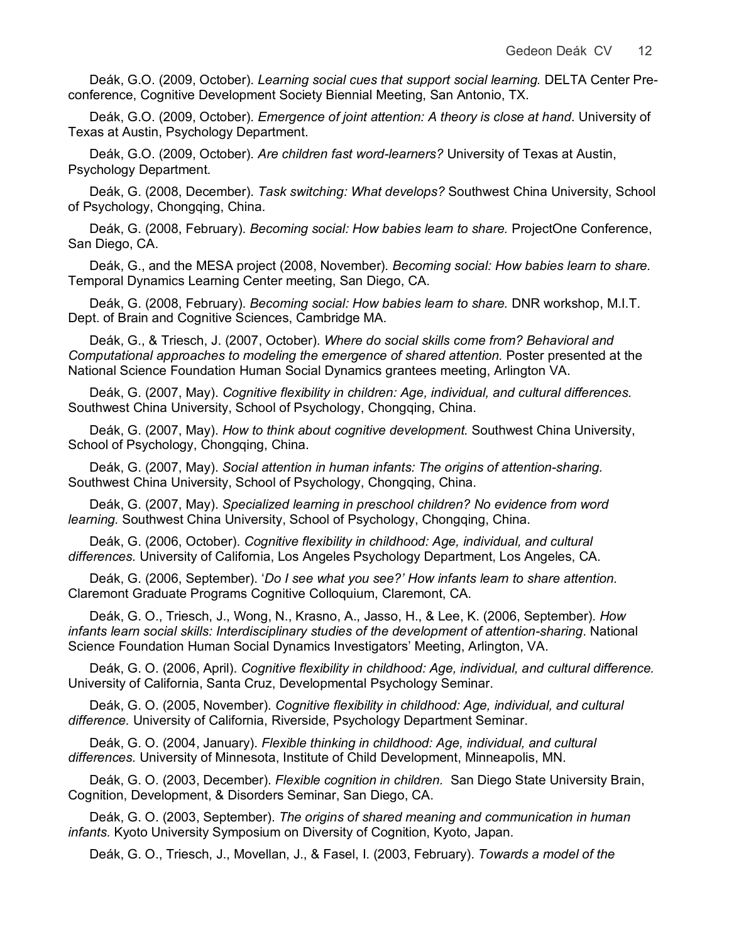Deák, G.O. (2009, October). *Learning social cues that support social learning.* DELTA Center Preconference, Cognitive Development Society Biennial Meeting, San Antonio, TX.

Deák, G.O. (2009, October). *Emergence of joint attention: A theory is close at hand.* University of Texas at Austin, Psychology Department.

Deák, G.O. (2009, October). *Are children fast word-learners?* University of Texas at Austin, Psychology Department.

Deák, G. (2008, December). *Task switching: What develops?* Southwest China University, School of Psychology, Chongqing, China.

Deák, G. (2008, February). *Becoming social: How babies learn to share.* ProjectOne Conference, San Diego, CA.

Deák, G., and the MESA project (2008, November). *Becoming social: How babies learn to share.* Temporal Dynamics Learning Center meeting, San Diego, CA.

Deák, G. (2008, February). *Becoming social: How babies learn to share.* DNR workshop, M.I.T. Dept. of Brain and Cognitive Sciences, Cambridge MA.

Deák, G., & Triesch, J. (2007, October). *Where do social skills come from? Behavioral and Computational approaches to modeling the emergence of shared attention.* Poster presented at the National Science Foundation Human Social Dynamics grantees meeting, Arlington VA.

Deák, G. (2007, May). *Cognitive flexibility in children: Age, individual, and cultural differences.* Southwest China University, School of Psychology, Chongqing, China.

Deák, G. (2007, May). *How to think about cognitive development.* Southwest China University, School of Psychology, Chongqing, China.

Deák, G. (2007, May). *Social attention in human infants: The origins of attention-sharing.* Southwest China University, School of Psychology, Chongqing, China.

Deák, G. (2007, May). *Specialized learning in preschool children? No evidence from word learning.* Southwest China University, School of Psychology, Chongqing, China.

Deák, G. (2006, October). *Cognitive flexibility in childhood: Age, individual, and cultural differences.* University of California, Los Angeles Psychology Department, Los Angeles, CA.

Deák, G. (2006, September). '*Do I see what you see?' How infants learn to share attention.*  Claremont Graduate Programs Cognitive Colloquium, Claremont, CA.

Deák, G. O., Triesch, J., Wong, N., Krasno, A., Jasso, H., & Lee, K. (2006, September). *How infants learn social skills: Interdisciplinary studies of the development of attention-sharing*. National Science Foundation Human Social Dynamics Investigators' Meeting, Arlington, VA.

Deák, G. O. (2006, April). *Cognitive flexibility in childhood: Age, individual, and cultural difference.* University of California, Santa Cruz, Developmental Psychology Seminar.

Deák, G. O. (2005, November). *Cognitive flexibility in childhood: Age, individual, and cultural difference.* University of California, Riverside, Psychology Department Seminar.

Deák, G. O. (2004, January). *Flexible thinking in childhood: Age, individual, and cultural differences.* University of Minnesota, Institute of Child Development, Minneapolis, MN.

Deák, G. O. (2003, December). *Flexible cognition in children.* San Diego State University Brain, Cognition, Development, & Disorders Seminar, San Diego, CA.

Deák, G. O. (2003, September). *The origins of shared meaning and communication in human infants.* Kyoto University Symposium on Diversity of Cognition, Kyoto, Japan.

Deák, G. O., Triesch, J., Movellan, J., & Fasel, I. (2003, February). *Towards a model of the*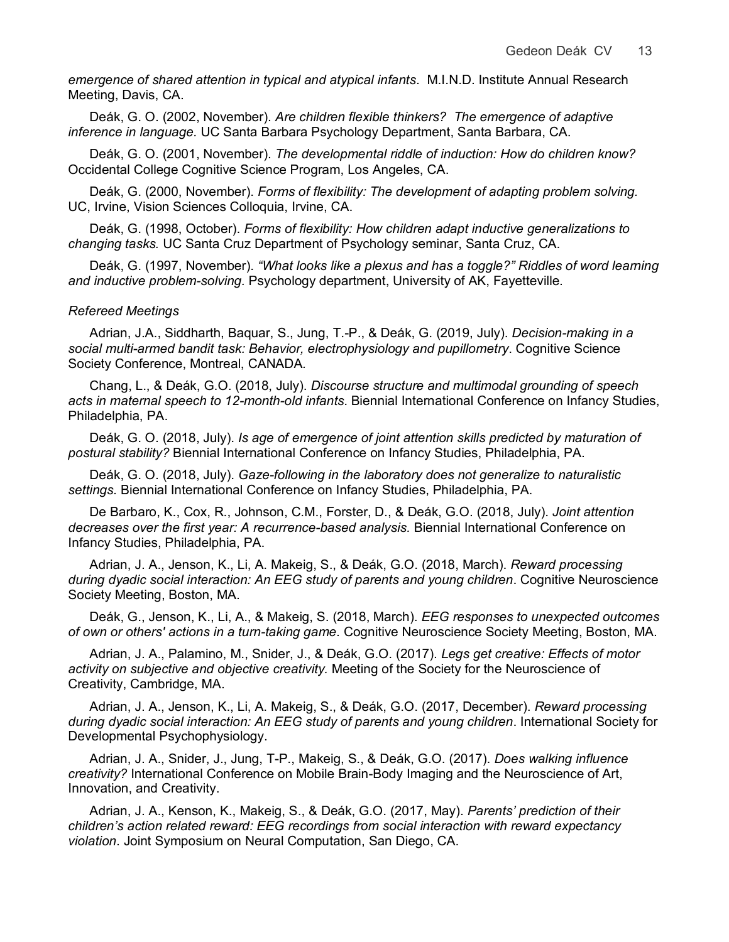*emergence of shared attention in typical and atypical infants*. M.I.N.D. Institute Annual Research Meeting, Davis, CA.

Deák, G. O. (2002, November). *Are children flexible thinkers? The emergence of adaptive inference in language.* UC Santa Barbara Psychology Department, Santa Barbara, CA.

Deák, G. O. (2001, November). *The developmental riddle of induction: How do children know?* Occidental College Cognitive Science Program, Los Angeles, CA.

Deák, G. (2000, November). *Forms of flexibility: The development of adapting problem solving.* UC, Irvine, Vision Sciences Colloquia, Irvine, CA.

Deák, G. (1998, October). *Forms of flexibility: How children adapt inductive generalizations to changing tasks.* UC Santa Cruz Department of Psychology seminar, Santa Cruz, CA.

Deák, G. (1997, November). *"What looks like a plexus and has a toggle?" Riddles of word learning and inductive problem-solving.* Psychology department, University of AK, Fayetteville.

#### *Refereed Meetings*

Adrian, J.A., Siddharth, Baquar, S., Jung, T.-P., & Deák, G. (2019, July). *Decision-making in a social multi-armed bandit task: Behavior, electrophysiology and pupillometry*. Cognitive Science Society Conference, Montreal, CANADA*.*

Chang, L., & Deák, G.O. (2018, July). *Discourse structure and multimodal grounding of speech acts in maternal speech to 12-month-old infants*. Biennial International Conference on Infancy Studies, Philadelphia, PA.

Deák, G. O. (2018, July). *Is age of emergence of joint attention skills predicted by maturation of postural stability?* Biennial International Conference on Infancy Studies, Philadelphia, PA.

Deák, G. O. (2018, July). *Gaze-following in the laboratory does not generalize to naturalistic settings.* Biennial International Conference on Infancy Studies, Philadelphia, PA.

De Barbaro, K., Cox, R., Johnson, C.M., Forster, D., & Deák, G.O. (2018, July). *Joint attention decreases over the first year: A recurrence-based analysis.* Biennial International Conference on Infancy Studies, Philadelphia, PA.

Adrian, J. A., Jenson, K., Li, A. Makeig, S., & Deák, G.O. (2018, March). *Reward processing during dyadic social interaction: An EEG study of parents and young children*. Cognitive Neuroscience Society Meeting, Boston, MA.

Deák, G., Jenson, K., Li, A., & Makeig, S. (2018, March). *EEG responses to unexpected outcomes of own or others' actions in a turn-taking game*. Cognitive Neuroscience Society Meeting, Boston, MA.

Adrian, J. A., Palamino, M., Snider, J., & Deák, G.O. (2017). *Legs get creative: Effects of motor activity on subjective and objective creativity.* Meeting of the Society for the Neuroscience of Creativity, Cambridge, MA.

Adrian, J. A., Jenson, K., Li, A. Makeig, S., & Deák, G.O. (2017, December). *Reward processing during dyadic social interaction: An EEG study of parents and young children*. International Society for Developmental Psychophysiology.

Adrian, J. A., Snider, J., Jung, T-P., Makeig, S., & Deák, G.O. (2017). *Does walking influence creativity?* International Conference on Mobile Brain-Body Imaging and the Neuroscience of Art, Innovation, and Creativity.

Adrian, J. A., Kenson, K., Makeig, S., & Deák, G.O. (2017, May). *Parents' prediction of their children's action related reward: EEG recordings from social interaction with reward expectancy violation*. Joint Symposium on Neural Computation, San Diego, CA.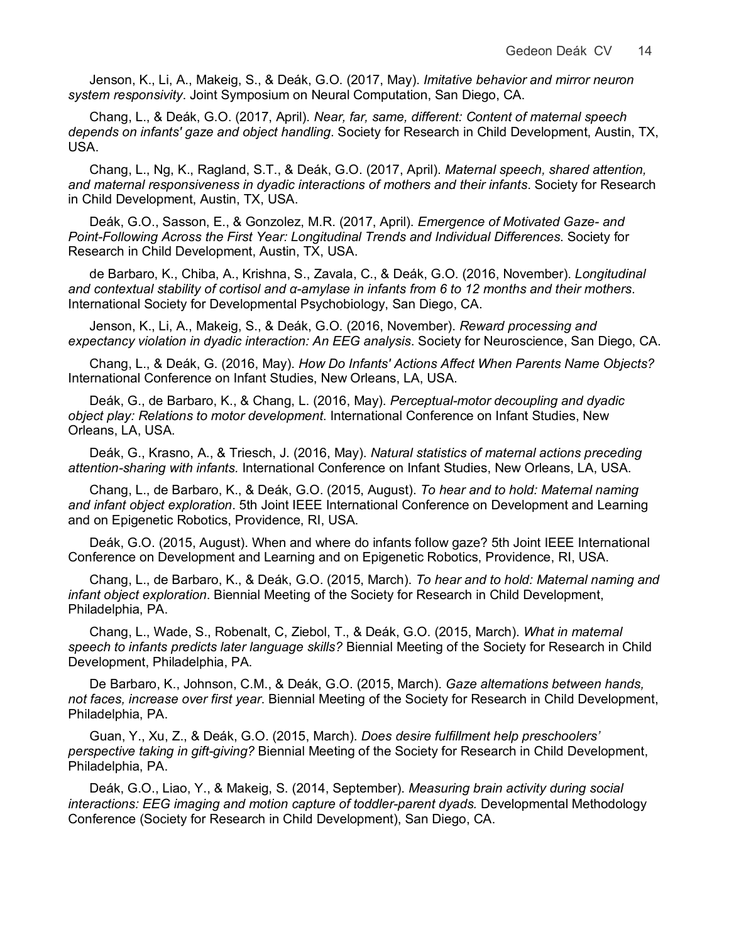Jenson, K., Li, A., Makeig, S., & Deák, G.O. (2017, May). *Imitative behavior and mirror neuron system responsivity*. Joint Symposium on Neural Computation, San Diego, CA.

Chang, L., & Deák, G.O. (2017, April). *Near, far, same, different: Content of maternal speech depends on infants' gaze and object handling*. Society for Research in Child Development, Austin, TX, USA.

Chang, L., Ng, K., Ragland, S.T., & Deák, G.O. (2017, April). *Maternal speech, shared attention, and maternal responsiveness in dyadic interactions of mothers and their infants*. Society for Research in Child Development, Austin, TX, USA.

Deák, G.O., Sasson, E., & Gonzolez, M.R. (2017, April). *Emergence of Motivated Gaze- and Point-Following Across the First Year: Longitudinal Trends and Individual Differences*. Society for Research in Child Development, Austin, TX, USA.

de Barbaro, K., Chiba, A., Krishna, S., Zavala, C., & Deák, G.O. (2016, November). *Longitudinal and contextual stability of cortisol and α-amylase in infants from 6 to 12 months and their mothers*. International Society for Developmental Psychobiology, San Diego, CA.

Jenson, K., Li, A., Makeig, S., & Deák, G.O. (2016, November). *Reward processing and expectancy violation in dyadic interaction: An EEG analysis*. Society for Neuroscience, San Diego, CA.

Chang, L., & Deák, G. (2016, May). *How Do Infants' Actions Affect When Parents Name Objects?* International Conference on Infant Studies, New Orleans, LA, USA.

Deák, G., de Barbaro, K., & Chang, L. (2016, May). *Perceptual-motor decoupling and dyadic object play: Relations to motor development*. International Conference on Infant Studies, New Orleans, LA, USA.

Deák, G., Krasno, A., & Triesch, J. (2016, May). *Natural statistics of maternal actions preceding attention-sharing with infants.* International Conference on Infant Studies, New Orleans, LA, USA.

Chang, L., de Barbaro, K., & Deák, G.O. (2015, August). *To hear and to hold: Maternal naming and infant object exploration*. 5th Joint IEEE International Conference on Development and Learning and on Epigenetic Robotics, Providence, RI, USA.

Deák, G.O. (2015, August). When and where do infants follow gaze? 5th Joint IEEE International Conference on Development and Learning and on Epigenetic Robotics, Providence, RI, USA.

Chang, L., de Barbaro, K., & Deák, G.O. (2015, March). *To hear and to hold: Maternal naming and infant object exploration*. Biennial Meeting of the Society for Research in Child Development, Philadelphia, PA.

Chang, L., Wade, S., Robenalt, C, Ziebol, T., & Deák, G.O. (2015, March). *What in maternal speech to infants predicts later language skills?* Biennial Meeting of the Society for Research in Child Development, Philadelphia, PA.

De Barbaro, K., Johnson, C.M., & Deák, G.O. (2015, March). *Gaze alternations between hands, not faces, increase over first year*. Biennial Meeting of the Society for Research in Child Development, Philadelphia, PA.

Guan, Y., Xu, Z., & Deák, G.O. (2015, March). *Does desire fulfillment help preschoolers' perspective taking in gift-giving?* Biennial Meeting of the Society for Research in Child Development, Philadelphia, PA.

Deák, G.O., Liao, Y., & Makeig, S. (2014, September). *Measuring brain activity during social interactions: EEG imaging and motion capture of toddler-parent dyads.* Developmental Methodology Conference (Society for Research in Child Development), San Diego, CA.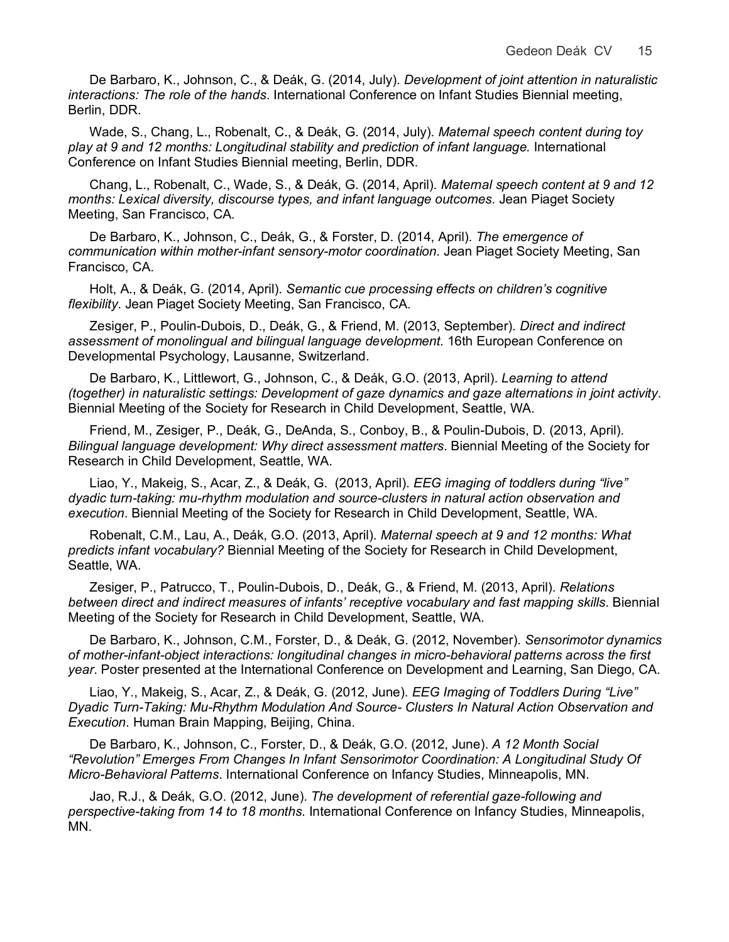De Barbaro, K., Johnson, C., & Deák, G. (2014, July). *Development of joint attention in naturalistic interactions: The role of the hands*. International Conference on Infant Studies Biennial meeting, Berlin, DDR.

Wade, S., Chang, L., Robenalt, C., & Deák, G. (2014, July). *Maternal speech content during toy play at 9 and 12 months: Longitudinal stability and prediction of infant language.* International Conference on Infant Studies Biennial meeting, Berlin, DDR.

Chang, L., Robenalt, C., Wade, S., & Deák, G. (2014, April). *Maternal speech content at 9 and 12 months: Lexical diversity, discourse types, and infant language outcomes*. Jean Piaget Society Meeting, San Francisco, CA.

De Barbaro, K., Johnson, C., Deák, G., & Forster, D. (2014, April). *The emergence of communication within mother-infant sensory-motor coordination*. Jean Piaget Society Meeting, San Francisco, CA.

Holt, A., & Deák, G. (2014, April). *Semantic cue processing effects on children's cognitive flexibility*. Jean Piaget Society Meeting, San Francisco, CA.

Zesiger, P., Poulin-Dubois, D., Deák, G., & Friend, M. (2013, September). *Direct and indirect assessment of monolingual and bilingual language development*. 16th European Conference on Developmental Psychology, Lausanne, Switzerland.

De Barbaro, K., Littlewort, G., Johnson, C., & Deák, G.O. (2013, April). *Learning to attend (together) in naturalistic settings: Development of gaze dynamics and gaze alternations in joint activity*. Biennial Meeting of the Society for Research in Child Development, Seattle, WA.

Friend, M., Zesiger, P., Deák, G., DeAnda, S., Conboy, B., & Poulin-Dubois, D. (2013, April). *Bilingual language development: Why direct assessment matters*. Biennial Meeting of the Society for Research in Child Development, Seattle, WA.

Liao, Y., Makeig, S., Acar, Z., & Deák, G. (2013, April). *EEG imaging of toddlers during "live" dyadic turn-taking: mu-rhythm modulation and source-clusters in natural action observation and execution*. Biennial Meeting of the Society for Research in Child Development, Seattle, WA.

Robenalt, C.M., Lau, A., Deák, G.O. (2013, April). *Maternal speech at 9 and 12 months: What predicts infant vocabulary?* Biennial Meeting of the Society for Research in Child Development, Seattle, WA.

Zesiger, P., Patrucco, T., Poulin-Dubois, D., Deák, G., & Friend, M. (2013, April). *Relations*  between direct and indirect measures of infants' receptive vocabulary and fast mapping skills. Biennial Meeting of the Society for Research in Child Development, Seattle, WA.

De Barbaro, K., Johnson, C.M., Forster, D., & Deák, G. (2012, November). *Sensorimotor dynamics of mother-infant-object interactions: longitudinal changes in micro-behavioral patterns across the first year*. Poster presented at the International Conference on Development and Learning, San Diego, CA.

Liao, Y., Makeig, S., Acar, Z., & Deák, G. (2012, June). *EEG Imaging of Toddlers During "Live" Dyadic Turn-Taking: Mu-Rhythm Modulation And Source- Clusters In Natural Action Observation and Execution*. Human Brain Mapping, Beijing, China.

De Barbaro, K., Johnson, C., Forster, D., & Deák, G.O. (2012, June). *A 12 Month Social "Revolution" Emerges From Changes In Infant Sensorimotor Coordination: A Longitudinal Study Of Micro-Behavioral Patterns*. International Conference on Infancy Studies, Minneapolis, MN.

Jao, R.J., & Deák, G.O. (2012, June). *The development of referential gaze-following and perspective-taking from 14 to 18 months*. International Conference on Infancy Studies, Minneapolis, MN.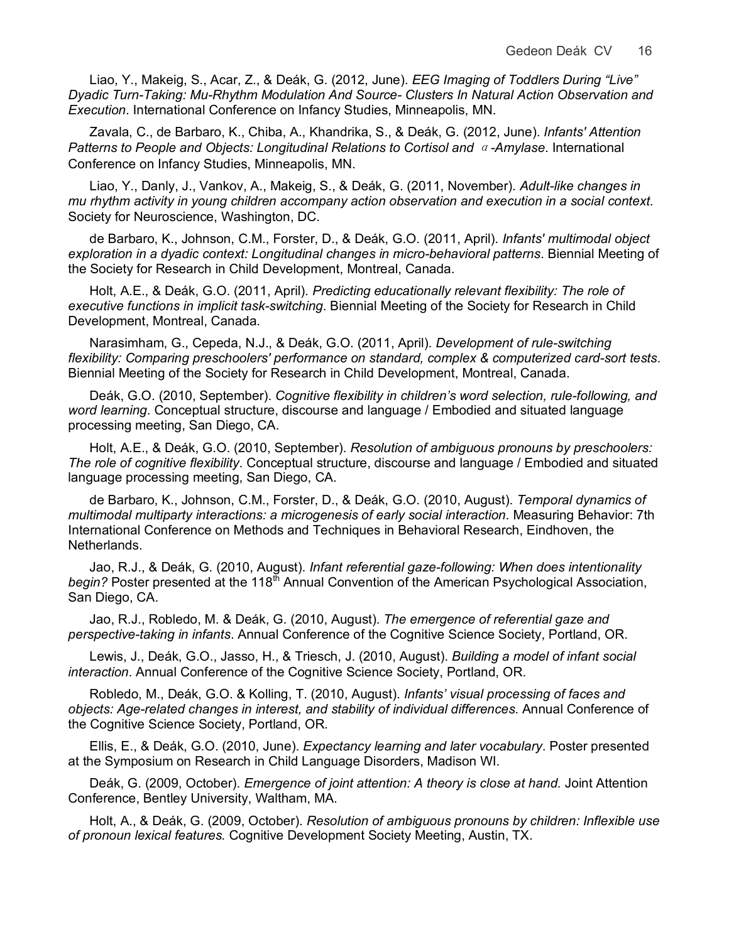Liao, Y., Makeig, S., Acar, Z., & Deák, G. (2012, June). *EEG Imaging of Toddlers During "Live" Dyadic Turn-Taking: Mu-Rhythm Modulation And Source- Clusters In Natural Action Observation and Execution*. International Conference on Infancy Studies, Minneapolis, MN.

Zavala, C., de Barbaro, K., Chiba, A., Khandrika, S., & Deák, G. (2012, June). *Infants' Attention Patterns to People and Objects: Longitudinal Relations to Cortisol and* α*-Amylase*. International Conference on Infancy Studies, Minneapolis, MN.

Liao, Y., Danly, J., Vankov, A., Makeig, S., & Deák, G. (2011, November). *Adult-like changes in mu rhythm activity in young children accompany action observation and execution in a social context*. Society for Neuroscience, Washington, DC.

de Barbaro, K., Johnson, C.M., Forster, D., & Deák, G.O. (2011, April). *Infants' multimodal object exploration in a dyadic context: Longitudinal changes in micro-behavioral patterns*. Biennial Meeting of the Society for Research in Child Development, Montreal, Canada.

Holt, A.E., & Deák, G.O. (2011, April). *Predicting educationally relevant flexibility: The role of executive functions in implicit task-switching*. Biennial Meeting of the Society for Research in Child Development, Montreal, Canada.

Narasimham, G., Cepeda, N.J., & Deák, G.O. (2011, April). *Development of rule-switching flexibility: Comparing preschoolers' performance on standard, complex & computerized card-sort tests*. Biennial Meeting of the Society for Research in Child Development, Montreal, Canada.

Deák, G.O. (2010, September). *Cognitive flexibility in children's word selection, rule-following, and word learning*. Conceptual structure, discourse and language / Embodied and situated language processing meeting, San Diego, CA.

Holt, A.E., & Deák, G.O. (2010, September). *Resolution of ambiguous pronouns by preschoolers: The role of cognitive flexibility*. Conceptual structure, discourse and language / Embodied and situated language processing meeting, San Diego, CA.

de Barbaro, K., Johnson, C.M., Forster, D., & Deák, G.O. (2010, August). *Temporal dynamics of multimodal multiparty interactions: a microgenesis of early social interaction*. Measuring Behavior: 7th International Conference on Methods and Techniques in Behavioral Research, Eindhoven, the Netherlands.

Jao, R.J., & Deák, G. (2010, August). *Infant referential gaze-following: When does intentionality*  begin? Poster presented at the 118<sup>th</sup> Annual Convention of the American Psychological Association, San Diego, CA.

Jao, R.J., Robledo, M. & Deák, G. (2010, August). *The emergence of referential gaze and perspective-taking in infants*. Annual Conference of the Cognitive Science Society, Portland, OR.

Lewis, J., Deák, G.O., Jasso, H., & Triesch, J. (2010, August). *Building a model of infant social interaction*. Annual Conference of the Cognitive Science Society, Portland, OR.

Robledo, M., Deák, G.O. & Kolling, T. (2010, August). *Infants' visual processing of faces and objects: Age-related changes in interest, and stability of individual differences*. Annual Conference of the Cognitive Science Society, Portland, OR.

Ellis, E., & Deák, G.O. (2010, June). *Expectancy learning and later vocabulary*. Poster presented at the Symposium on Research in Child Language Disorders, Madison WI.

Deák, G. (2009, October). *Emergence of joint attention: A theory is close at hand.* Joint Attention Conference, Bentley University, Waltham, MA.

Holt, A., & Deák, G. (2009, October). *Resolution of ambiguous pronouns by children: Inflexible use of pronoun lexical features.* Cognitive Development Society Meeting, Austin, TX.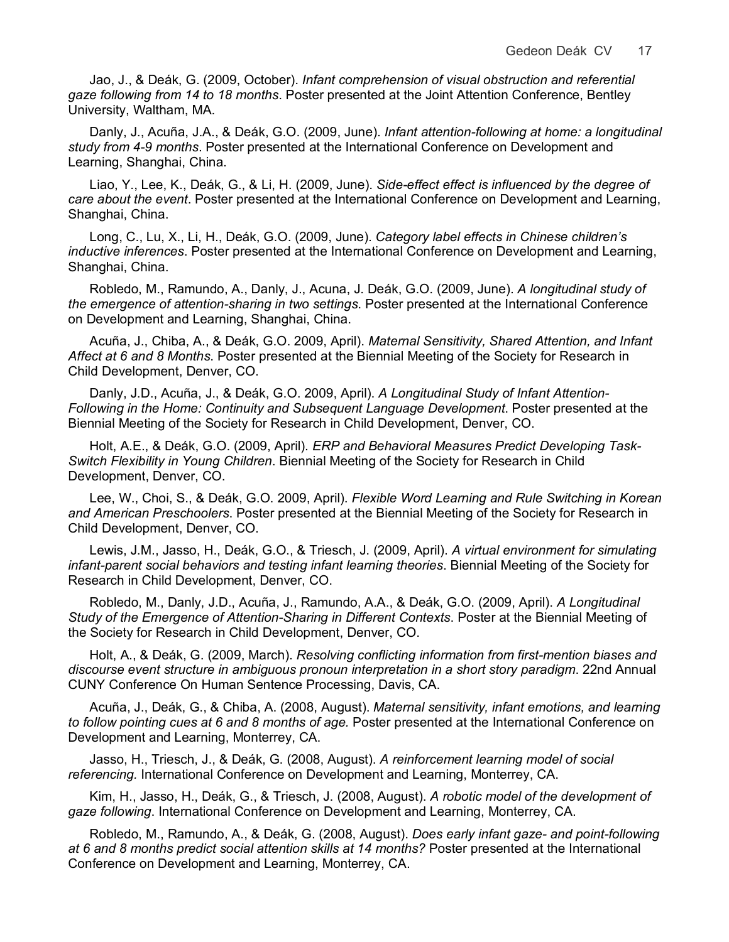Jao, J., & Deák, G. (2009, October). *Infant comprehension of visual obstruction and referential gaze following from 14 to 18 months*. Poster presented at the Joint Attention Conference, Bentley University, Waltham, MA.

Danly, J., Acuña, J.A., & Deák, G.O. (2009, June). *Infant attention-following at home: a longitudinal study from 4-9 months*. Poster presented at the International Conference on Development and Learning, Shanghai, China.

Liao, Y., Lee, K., Deák, G., & Li, H. (2009, June). *Side-effect effect is influenced by the degree of care about the event*. Poster presented at the International Conference on Development and Learning, Shanghai, China.

Long, C., Lu, X., Li, H., Deák, G.O. (2009, June). *Category label effects in Chinese children's inductive inferences*. Poster presented at the International Conference on Development and Learning, Shanghai, China.

Robledo, M., Ramundo, A., Danly, J., Acuna, J. Deák, G.O. (2009, June). *A longitudinal study of the emergence of attention-sharing in two settings*. Poster presented at the International Conference on Development and Learning, Shanghai, China.

Acuña, J., Chiba, A., & Deák, G.O. 2009, April). *Maternal Sensitivity, Shared Attention, and Infant Affect at 6 and 8 Months*. Poster presented at the Biennial Meeting of the Society for Research in Child Development, Denver, CO.

Danly, J.D., Acuña, J., & Deák, G.O. 2009, April). *A Longitudinal Study of Infant Attention-Following in the Home: Continuity and Subsequent Language Development*. Poster presented at the Biennial Meeting of the Society for Research in Child Development, Denver, CO.

Holt, A.E., & Deák, G.O. (2009, April). *ERP and Behavioral Measures Predict Developing Task-Switch Flexibility in Young Children*. Biennial Meeting of the Society for Research in Child Development, Denver, CO.

Lee, W., Choi, S., & Deák, G.O. 2009, April). *Flexible Word Learning and Rule Switching in Korean and American Preschoolers*. Poster presented at the Biennial Meeting of the Society for Research in Child Development, Denver, CO.

Lewis, J.M., Jasso, H., Deák, G.O., & Triesch, J. (2009, April). *A virtual environment for simulating infant-parent social behaviors and testing infant learning theories*. Biennial Meeting of the Society for Research in Child Development, Denver, CO.

Robledo, M., Danly, J.D., Acuña, J., Ramundo, A.A., & Deák, G.O. (2009, April). *A Longitudinal Study of the Emergence of Attention-Sharing in Different Contexts*. Poster at the Biennial Meeting of the Society for Research in Child Development, Denver, CO.

Holt, A., & Deák, G. (2009, March). *Resolving conflicting information from first-mention biases and discourse event structure in ambiguous pronoun interpretation in a short story paradigm*. 22nd Annual CUNY Conference On Human Sentence Processing, Davis, CA.

Acuña, J., Deák, G., & Chiba, A. (2008, August). *Maternal sensitivity, infant emotions, and learning to follow pointing cues at 6 and 8 months of age.* Poster presented at the International Conference on Development and Learning, Monterrey, CA.

Jasso, H., Triesch, J., & Deák, G. (2008, August). *A reinforcement learning model of social referencing.* International Conference on Development and Learning, Monterrey, CA.

Kim, H., Jasso, H., Deák, G., & Triesch, J. (2008, August). *A robotic model of the development of gaze following*. International Conference on Development and Learning, Monterrey, CA.

Robledo, M., Ramundo, A., & Deák, G. (2008, August). *Does early infant gaze- and point-following at 6 and 8 months predict social attention skills at 14 months?* Poster presented at the International Conference on Development and Learning, Monterrey, CA.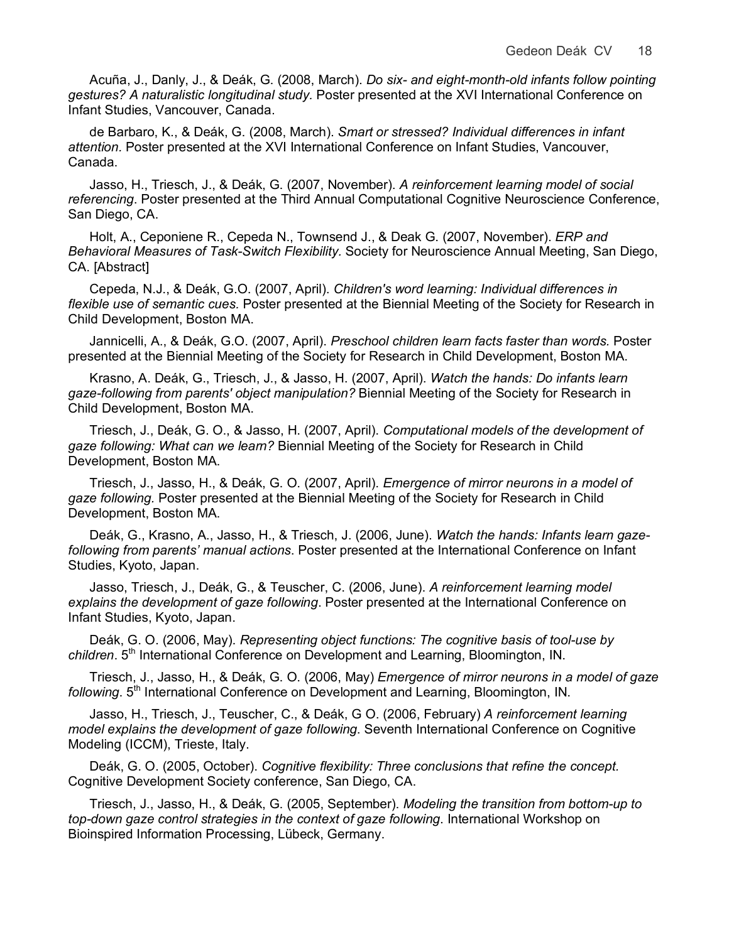Acuña, J., Danly, J., & Deák, G. (2008, March). *Do six- and eight-month-old infants follow pointing gestures? A naturalistic longitudinal study.* Poster presented at the XVI International Conference on Infant Studies, Vancouver, Canada.

de Barbaro, K., & Deák, G. (2008, March). *Smart or stressed? Individual differences in infant attention.* Poster presented at the XVI International Conference on Infant Studies, Vancouver, Canada.

Jasso, H., Triesch, J., & Deák, G. (2007, November). *A reinforcement learning model of social referencing*. Poster presented at the Third Annual Computational Cognitive Neuroscience Conference, San Diego, CA.

Holt, A., Ceponiene R., Cepeda N., Townsend J., & Deak G. (2007, November). *ERP and Behavioral Measures of Task-Switch Flexibility.* Society for Neuroscience Annual Meeting, San Diego, CA. [Abstract]

Cepeda, N.J., & Deák, G.O. (2007, April). *Children's word learning: Individual differences in flexible use of semantic cues.* Poster presented at the Biennial Meeting of the Society for Research in Child Development, Boston MA.

Jannicelli, A., & Deák, G.O. (2007, April). *Preschool children learn facts faster than words.* Poster presented at the Biennial Meeting of the Society for Research in Child Development, Boston MA.

Krasno, A. Deák, G., Triesch, J., & Jasso, H. (2007, April). *Watch the hands: Do infants learn gaze-following from parents' object manipulation?* Biennial Meeting of the Society for Research in Child Development, Boston MA.

Triesch, J., Deák, G. O., & Jasso, H. (2007, April). *Computational models of the development of gaze following: What can we learn?* Biennial Meeting of the Society for Research in Child Development, Boston MA.

Triesch, J., Jasso, H., & Deák, G. O. (2007, April). *Emergence of mirror neurons in a model of gaze following.* Poster presented at the Biennial Meeting of the Society for Research in Child Development, Boston MA.

Deák, G., Krasno, A., Jasso, H., & Triesch, J. (2006, June). *Watch the hands: Infants learn gazefollowing from parents' manual actions*. Poster presented at the International Conference on Infant Studies, Kyoto, Japan.

Jasso, Triesch, J., Deák, G., & Teuscher, C. (2006, June). *A reinforcement learning model explains the development of gaze following*. Poster presented at the International Conference on Infant Studies, Kyoto, Japan.

Deák, G. O. (2006, May). *Representing object functions: The cognitive basis of tool-use by children*. 5th International Conference on Development and Learning, Bloomington, IN.

Triesch, J., Jasso, H., & Deák, G. O. (2006, May) *Emergence of mirror neurons in a model of gaze following*. 5<sup>th</sup> International Conference on Development and Learning, Bloomington, IN.

Jasso, H., Triesch, J., Teuscher, C., & Deák, G O. (2006, February) *A reinforcement learning model explains the development of gaze following*. Seventh International Conference on Cognitive Modeling (ICCM), Trieste, Italy.

Deák, G. O. (2005, October). *Cognitive flexibility: Three conclusions that refine the concept.* Cognitive Development Society conference, San Diego, CA.

Triesch, J., Jasso, H., & Deák, G. (2005, September). *Modeling the transition from bottom-up to top-down gaze control strategies in the context of gaze following*. International Workshop on Bioinspired Information Processing, Lübeck, Germany.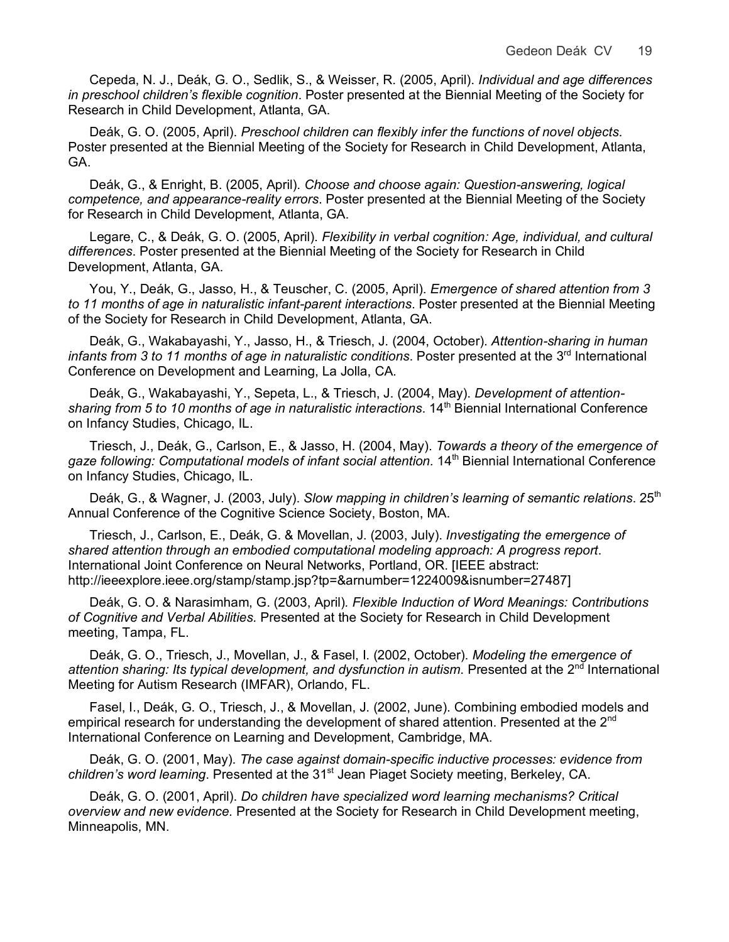Cepeda, N. J., Deák, G. O., Sedlik, S., & Weisser, R. (2005, April). *Individual and age differences in preschool children's flexible cognition*. Poster presented at the Biennial Meeting of the Society for Research in Child Development, Atlanta, GA.

Deák, G. O. (2005, April). *Preschool children can flexibly infer the functions of novel objects*. Poster presented at the Biennial Meeting of the Society for Research in Child Development, Atlanta, GA.

Deák, G., & Enright, B. (2005, April). *Choose and choose again: Question-answering, logical competence, and appearance-reality errors*. Poster presented at the Biennial Meeting of the Society for Research in Child Development, Atlanta, GA.

Legare, C., & Deák, G. O. (2005, April). *Flexibility in verbal cognition: Age, individual, and cultural differences*. Poster presented at the Biennial Meeting of the Society for Research in Child Development, Atlanta, GA.

You, Y., Deák, G., Jasso, H., & Teuscher, C. (2005, April). *Emergence of shared attention from 3 to 11 months of age in naturalistic infant-parent interactions*. Poster presented at the Biennial Meeting of the Society for Research in Child Development, Atlanta, GA.

Deák, G., Wakabayashi, Y., Jasso, H., & Triesch, J. (2004, October). *Attention-sharing in human*  infants from 3 to 11 months of age in naturalistic conditions. Poster presented at the 3<sup>rd</sup> International Conference on Development and Learning, La Jolla, CA.

Deák, G., Wakabayashi, Y., Sepeta, L., & Triesch, J. (2004, May). *Development of attention*sharing from 5 to 10 months of age in naturalistic interactions. 14<sup>th</sup> Biennial International Conference on Infancy Studies, Chicago, IL.

Triesch, J., Deák, G., Carlson, E., & Jasso, H. (2004, May). *Towards a theory of the emergence of*  gaze following: Computational models of infant social attention. 14<sup>th</sup> Biennial International Conference on Infancy Studies, Chicago, IL.

Deák, G., & Wagner, J. (2003, July). *Slow mapping in children's learning of semantic relations*. 25<sup>th</sup> Annual Conference of the Cognitive Science Society, Boston, MA.

Triesch, J., Carlson, E., Deák, G. & Movellan, J. (2003, July). *Investigating the emergence of shared attention through an embodied computational modeling approach: A progress report*. International Joint Conference on Neural Networks, Portland, OR. [IEEE abstract: http://ieeexplore.ieee.org/stamp/stamp.jsp?tp=&arnumber=1224009&isnumber=27487]

Deák, G. O. & Narasimham, G. (2003, April)*. Flexible Induction of Word Meanings: Contributions of Cognitive and Verbal Abilities.* Presented at the Society for Research in Child Development meeting, Tampa, FL.

Deák, G. O., Triesch, J., Movellan, J., & Fasel, I. (2002, October). *Modeling the emergence of*  attention sharing: Its typical development, and dysfunction in autism. Presented at the 2<sup>nd</sup> International Meeting for Autism Research (IMFAR), Orlando, FL.

Fasel, I., Deák, G. O., Triesch, J., & Movellan, J. (2002, June). Combining embodied models and empirical research for understanding the development of shared attention. Presented at the 2<sup>nd</sup> International Conference on Learning and Development, Cambridge, MA.

Deák, G. O. (2001, May). *The case against domain-specific inductive processes: evidence from children's word learning*. Presented at the 31st Jean Piaget Society meeting, Berkeley, CA.

Deák, G. O. (2001, April). *Do children have specialized word learning mechanisms? Critical overview and new evidence.* Presented at the Society for Research in Child Development meeting, Minneapolis, MN.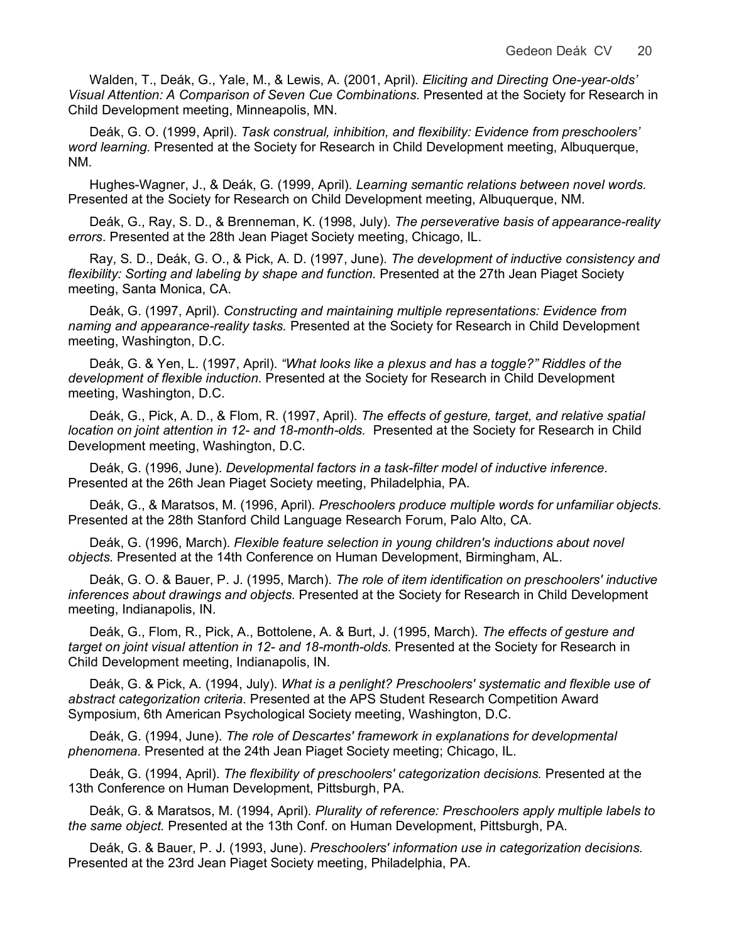Walden, T., Deák, G., Yale, M., & Lewis, A. (2001, April). *Eliciting and Directing One-year-olds' Visual Attention: A Comparison of Seven Cue Combinations*. Presented at the Society for Research in Child Development meeting, Minneapolis, MN.

Deák, G. O. (1999, April). *Task construal, inhibition, and flexibility: Evidence from preschoolers' word learning.* Presented at the Society for Research in Child Development meeting, Albuquerque, NM.

Hughes-Wagner, J., & Deák, G. (1999, April). *Learning semantic relations between novel words.* Presented at the Society for Research on Child Development meeting, Albuquerque, NM.

Deák, G., Ray, S. D., & Brenneman, K. (1998, July). *The perseverative basis of appearance-reality errors*. Presented at the 28th Jean Piaget Society meeting, Chicago, IL.

Ray, S. D., Deák, G. O., & Pick, A. D. (1997, June). *The development of inductive consistency and flexibility: Sorting and labeling by shape and function.* Presented at the 27th Jean Piaget Society meeting, Santa Monica, CA.

Deák, G. (1997, April). *Constructing and maintaining multiple representations: Evidence from naming and appearance-reality tasks.* Presented at the Society for Research in Child Development meeting, Washington, D.C.

Deák, G. & Yen, L. (1997, April). *"What looks like a plexus and has a toggle?" Riddles of the development of flexible induction.* Presented at the Society for Research in Child Development meeting, Washington, D.C.

Deák, G., Pick, A. D., & Flom, R. (1997, April). *The effects of gesture, target, and relative spatial location on joint attention in 12- and 18-month-olds.* Presented at the Society for Research in Child Development meeting, Washington, D.C.

Deák, G. (1996, June). *Developmental factors in a task-filter model of inductive inference.*  Presented at the 26th Jean Piaget Society meeting, Philadelphia, PA.

Deák, G., & Maratsos, M. (1996, April). *Preschoolers produce multiple words for unfamiliar objects.* Presented at the 28th Stanford Child Language Research Forum, Palo Alto, CA.

Deák, G. (1996, March). *Flexible feature selection in young children's inductions about novel objects.* Presented at the 14th Conference on Human Development, Birmingham, AL.

Deák, G. O. & Bauer, P. J. (1995, March). *The role of item identification on preschoolers' inductive inferences about drawings and objects.* Presented at the Society for Research in Child Development meeting, Indianapolis, IN.

Deák, G., Flom, R., Pick, A., Bottolene, A. & Burt, J. (1995, March). *The effects of gesture and target on joint visual attention in 12- and 18-month-olds.* Presented at the Society for Research in Child Development meeting, Indianapolis, IN.

Deák, G. & Pick, A. (1994, July). *What is a penlight? Preschoolers' systematic and flexible use of abstract categorization criteria.* Presented at the APS Student Research Competition Award Symposium, 6th American Psychological Society meeting, Washington, D.C.

Deák, G. (1994, June). *The role of Descartes' framework in explanations for developmental phenomena.* Presented at the 24th Jean Piaget Society meeting; Chicago, IL.

Deák, G. (1994, April). *The flexibility of preschoolers' categorization decisions.* Presented at the 13th Conference on Human Development, Pittsburgh, PA.

Deák, G. & Maratsos, M. (1994, April). *Plurality of reference: Preschoolers apply multiple labels to the same object.* Presented at the 13th Conf. on Human Development, Pittsburgh, PA.

Deák, G. & Bauer, P. J. (1993, June). *Preschoolers' information use in categorization decisions.* Presented at the 23rd Jean Piaget Society meeting, Philadelphia, PA.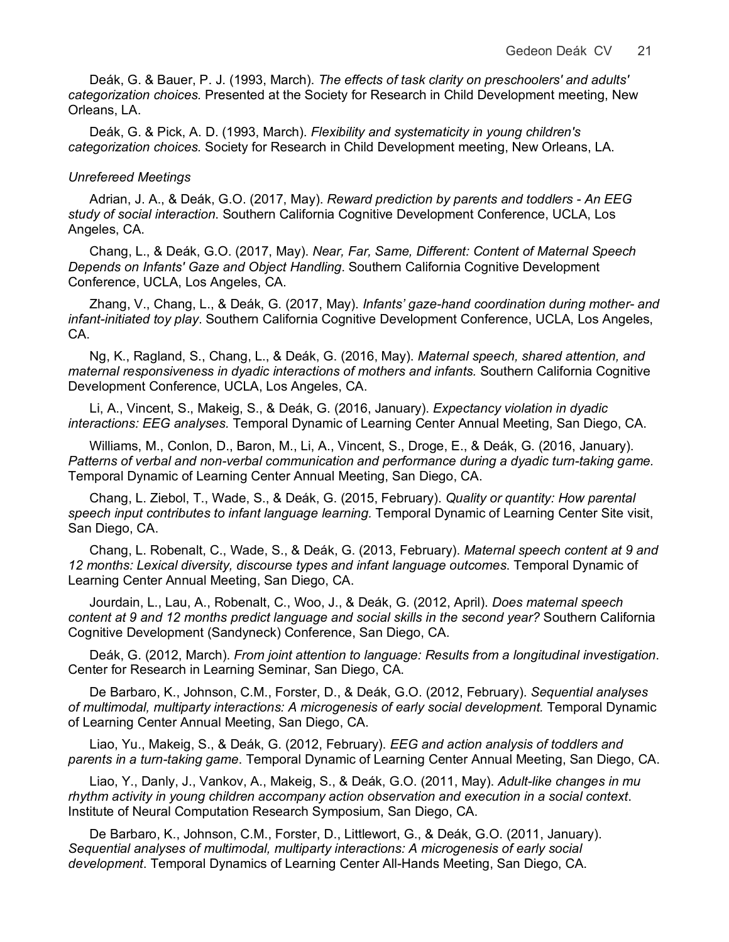Deák, G. & Bauer, P. J. (1993, March). *The effects of task clarity on preschoolers' and adults' categorization choices.* Presented at the Society for Research in Child Development meeting, New Orleans, LA.

Deák, G. & Pick, A. D. (1993, March). *Flexibility and systematicity in young children's categorization choices.* Society for Research in Child Development meeting, New Orleans, LA.

#### *Unrefereed Meetings*

Adrian, J. A., & Deák, G.O. (2017, May). *Reward prediction by parents and toddlers - An EEG study of social interaction*. Southern California Cognitive Development Conference, UCLA, Los Angeles, CA.

Chang, L., & Deák, G.O. (2017, May). *Near, Far, Same, Different: Content of Maternal Speech Depends on Infants' Gaze and Object Handling*. Southern California Cognitive Development Conference, UCLA, Los Angeles, CA.

Zhang, V., Chang, L., & Deák, G. (2017, May). *Infants' gaze-hand coordination during mother- and infant-initiated toy play*. Southern California Cognitive Development Conference, UCLA, Los Angeles, CA.

Ng, K., Ragland, S., Chang, L., & Deák, G. (2016, May). *Maternal speech, shared attention, and maternal responsiveness in dyadic interactions of mothers and infants.* Southern California Cognitive Development Conference, UCLA, Los Angeles, CA.

Li, A., Vincent, S., Makeig, S., & Deák, G. (2016, January). *Expectancy violation in dyadic interactions: EEG analyses.* Temporal Dynamic of Learning Center Annual Meeting, San Diego, CA.

Williams, M., Conlon, D., Baron, M., Li, A., Vincent, S., Droge, E., & Deák, G. (2016, January). *Patterns of verbal and non-verbal communication and performance during a dyadic turn-taking game.*  Temporal Dynamic of Learning Center Annual Meeting, San Diego, CA.

Chang, L. Ziebol, T., Wade, S., & Deák, G. (2015, February). *Quality or quantity: How parental speech input contributes to infant language learning.* Temporal Dynamic of Learning Center Site visit, San Diego, CA.

Chang, L. Robenalt, C., Wade, S., & Deák, G. (2013, February). *Maternal speech content at 9 and 12 months: Lexical diversity, discourse types and infant language outcomes*. Temporal Dynamic of Learning Center Annual Meeting, San Diego, CA.

Jourdain, L., Lau, A., Robenalt, C., Woo, J., & Deák, G. (2012, April). *Does maternal speech content at 9 and 12 months predict language and social skills in the second year?* Southern California Cognitive Development (Sandyneck) Conference, San Diego, CA.

Deák, G. (2012, March). *From joint attention to language: Results from a longitudinal investigation*. Center for Research in Learning Seminar, San Diego, CA.

De Barbaro, K., Johnson, C.M., Forster, D., & Deák, G.O. (2012, February). *Sequential analyses of multimodal, multiparty interactions: A microgenesis of early social development.* Temporal Dynamic of Learning Center Annual Meeting, San Diego, CA.

Liao, Yu., Makeig, S., & Deák, G. (2012, February). *EEG and action analysis of toddlers and parents in a turn-taking game*. Temporal Dynamic of Learning Center Annual Meeting, San Diego, CA.

Liao, Y., Danly, J., Vankov, A., Makeig, S., & Deák, G.O. (2011, May). *Adult-like changes in mu rhythm activity in young children accompany action observation and execution in a social context*. Institute of Neural Computation Research Symposium, San Diego, CA.

De Barbaro, K., Johnson, C.M., Forster, D., Littlewort, G., & Deák, G.O. (2011, January). *Sequential analyses of multimodal, multiparty interactions: A microgenesis of early social development*. Temporal Dynamics of Learning Center All-Hands Meeting, San Diego, CA.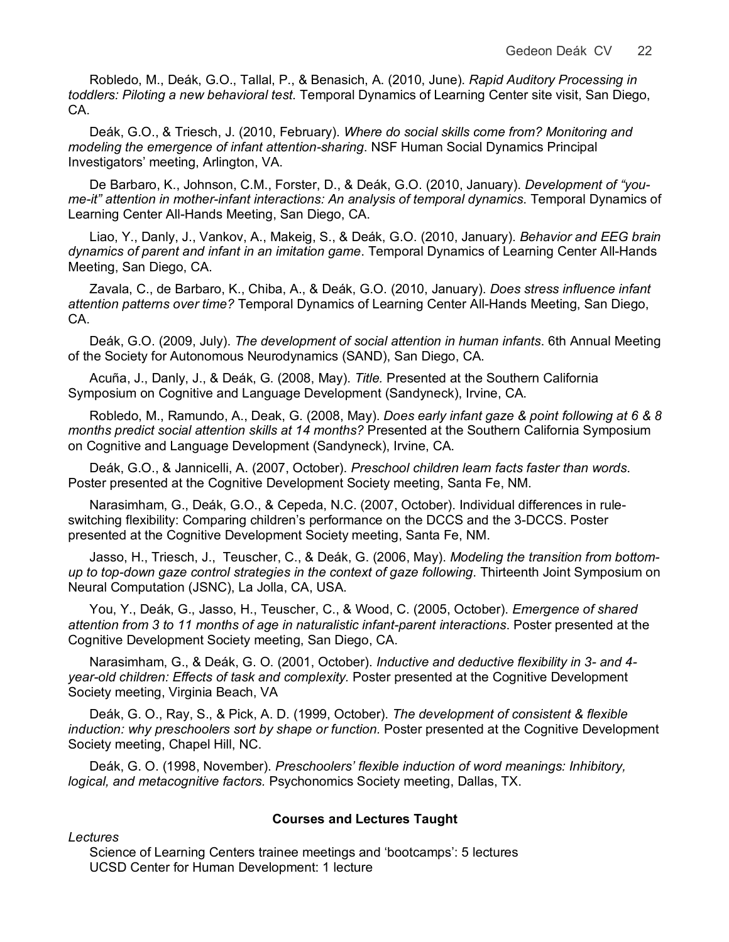Robledo, M., Deák, G.O., Tallal, P., & Benasich, A. (2010, June). *Rapid Auditory Processing in toddlers: Piloting a new behavioral test*. Temporal Dynamics of Learning Center site visit, San Diego, CA.

Deák, G.O., & Triesch, J. (2010, February). *Where do social skills come from? Monitoring and modeling the emergence of infant attention-sharing*. NSF Human Social Dynamics Principal Investigators' meeting, Arlington, VA.

De Barbaro, K., Johnson, C.M., Forster, D., & Deák, G.O. (2010, January). *Development of "youme-it" attention in mother-infant interactions: An analysis of temporal dynamics*. Temporal Dynamics of Learning Center All-Hands Meeting, San Diego, CA.

Liao, Y., Danly, J., Vankov, A., Makeig, S., & Deák, G.O. (2010, January). *Behavior and EEG brain dynamics of parent and infant in an imitation game*. Temporal Dynamics of Learning Center All-Hands Meeting, San Diego, CA.

Zavala, C., de Barbaro, K., Chiba, A., & Deák, G.O. (2010, January). *Does stress influence infant attention patterns over time?* Temporal Dynamics of Learning Center All-Hands Meeting, San Diego, CA.

Deák, G.O. (2009, July). *The development of social attention in human infants*. 6th Annual Meeting of the Society for Autonomous Neurodynamics (SAND), San Diego, CA.

Acuña, J., Danly, J., & Deák, G. (2008, May). *Title.* Presented at the Southern California Symposium on Cognitive and Language Development (Sandyneck), Irvine, CA.

Robledo, M., Ramundo, A., Deak, G. (2008, May). *Does early infant gaze & point following at 6 & 8 months predict social attention skills at 14 months?* Presented at the Southern California Symposium on Cognitive and Language Development (Sandyneck), Irvine, CA.

Deák, G.O., & Jannicelli, A. (2007, October). *Preschool children learn facts faster than words*. Poster presented at the Cognitive Development Society meeting, Santa Fe, NM.

Narasimham, G., Deák, G.O., & Cepeda, N.C. (2007, October). Individual differences in ruleswitching flexibility: Comparing children's performance on the DCCS and the 3-DCCS. Poster presented at the Cognitive Development Society meeting, Santa Fe, NM.

Jasso, H., Triesch, J., Teuscher, C., & Deák, G. (2006, May). *Modeling the transition from bottomup to top-down gaze control strategies in the context of gaze following*. Thirteenth Joint Symposium on Neural Computation (JSNC), La Jolla, CA, USA.

You, Y., Deák, G., Jasso, H., Teuscher, C., & Wood, C. (2005, October). *Emergence of shared attention from 3 to 11 months of age in naturalistic infant-parent interactions*. Poster presented at the Cognitive Development Society meeting, San Diego, CA.

Narasimham, G., & Deák, G. O. (2001, October). *Inductive and deductive flexibility in 3- and 4 year-old children: Effects of task and complexity.* Poster presented at the Cognitive Development Society meeting, Virginia Beach, VA

Deák, G. O., Ray, S., & Pick, A. D. (1999, October). *The development of consistent & flexible induction: why preschoolers sort by shape or function.* Poster presented at the Cognitive Development Society meeting, Chapel Hill, NC.

Deák, G. O. (1998, November). *Preschoolers' flexible induction of word meanings: Inhibitory, logical, and metacognitive factors.* Psychonomics Society meeting, Dallas, TX.

# **Courses and Lectures Taught**

*Lectures*

Science of Learning Centers trainee meetings and 'bootcamps': 5 lectures UCSD Center for Human Development: 1 lecture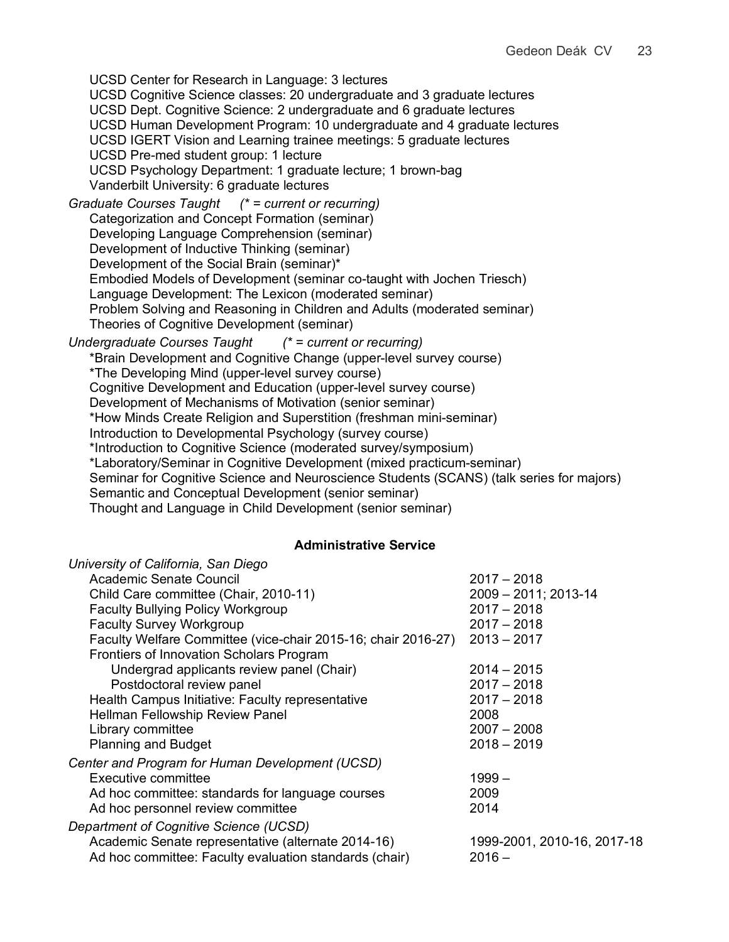UCSD Center for Research in Language: 3 lectures UCSD Cognitive Science classes: 20 undergraduate and 3 graduate lectures UCSD Dept. Cognitive Science: 2 undergraduate and 6 graduate lectures UCSD Human Development Program: 10 undergraduate and 4 graduate lectures UCSD IGERT Vision and Learning trainee meetings: 5 graduate lectures UCSD Pre-med student group: 1 lecture UCSD Psychology Department: 1 graduate lecture; 1 brown-bag Vanderbilt University: 6 graduate lectures *Graduate Courses Taught (\* = current or recurring)* Categorization and Concept Formation (seminar) Developing Language Comprehension (seminar) Development of Inductive Thinking (seminar) Development of the Social Brain (seminar)\* Embodied Models of Development (seminar co-taught with Jochen Triesch) Language Development: The Lexicon (moderated seminar) Problem Solving and Reasoning in Children and Adults (moderated seminar) Theories of Cognitive Development (seminar) *Undergraduate Courses Taught (\* = current or recurring)* \*Brain Development and Cognitive Change (upper-level survey course) \*The Developing Mind (upper-level survey course) Cognitive Development and Education (upper-level survey course) Development of Mechanisms of Motivation (senior seminar) \*How Minds Create Religion and Superstition (freshman mini-seminar) Introduction to Developmental Psychology (survey course) \*Introduction to Cognitive Science (moderated survey/symposium) \*Laboratory/Seminar in Cognitive Development (mixed practicum-seminar) Seminar for Cognitive Science and Neuroscience Students (SCANS) (talk series for majors) Semantic and Conceptual Development (senior seminar)

Thought and Language in Child Development (senior seminar)

#### **Administrative Service**

| University of California, San Diego                           |                             |
|---------------------------------------------------------------|-----------------------------|
| Academic Senate Council                                       | $2017 - 2018$               |
| Child Care committee (Chair, 2010-11)                         | 2009 - 2011; 2013-14        |
| <b>Faculty Bullying Policy Workgroup</b>                      | $2017 - 2018$               |
| <b>Faculty Survey Workgroup</b>                               | $2017 - 2018$               |
| Faculty Welfare Committee (vice-chair 2015-16; chair 2016-27) | $2013 - 2017$               |
| Frontiers of Innovation Scholars Program                      |                             |
| Undergrad applicants review panel (Chair)                     | $2014 - 2015$               |
| Postdoctoral review panel                                     | $2017 - 2018$               |
| Health Campus Initiative: Faculty representative              | $2017 - 2018$               |
| Hellman Fellowship Review Panel                               | 2008                        |
| Library committee                                             | $2007 - 2008$               |
| <b>Planning and Budget</b>                                    | $2018 - 2019$               |
| Center and Program for Human Development (UCSD)               |                             |
| Executive committee                                           | $1999-$                     |
| Ad hoc committee: standards for language courses              | 2009                        |
| Ad hoc personnel review committee                             | 2014                        |
| Department of Cognitive Science (UCSD)                        |                             |
| Academic Senate representative (alternate 2014-16)            | 1999-2001, 2010-16, 2017-18 |
| Ad hoc committee: Faculty evaluation standards (chair)        | $2016 -$                    |
|                                                               |                             |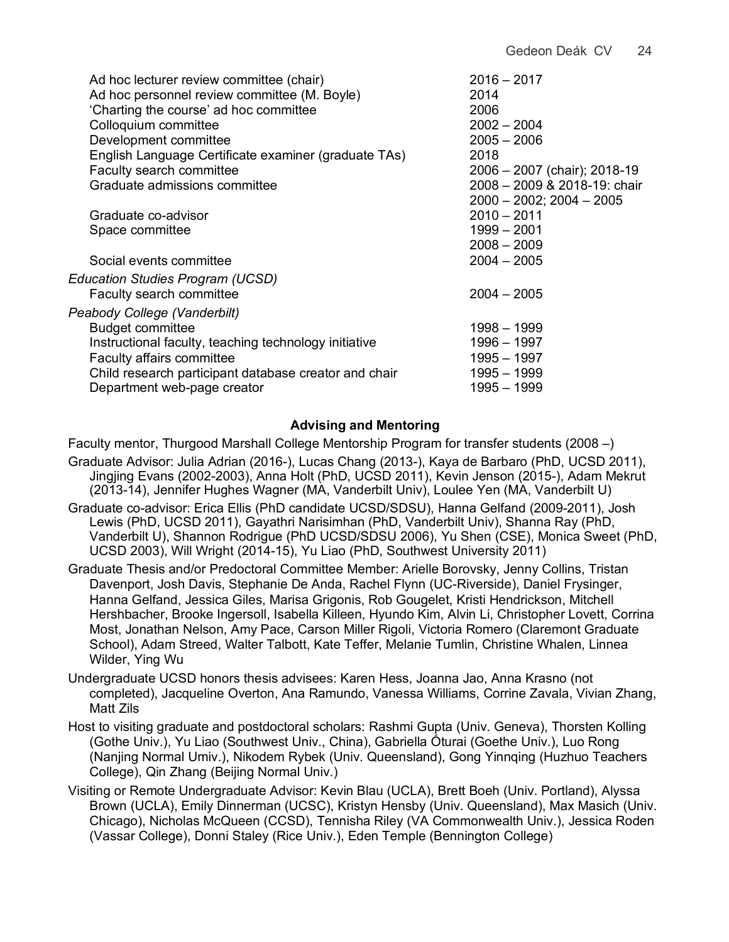| Ad hoc lecturer review committee (chair)<br>Ad hoc personnel review committee (M. Boyle)<br>'Charting the course' ad hoc committee<br>Colloquium committee<br>Development committee<br>English Language Certificate examiner (graduate TAs)<br>Faculty search committee<br>Graduate admissions committee | $2016 - 2017$<br>2014<br>2006<br>$2002 - 2004$<br>$2005 - 2006$<br>2018<br>2006 - 2007 (chair); 2018-19<br>2008 - 2009 & 2018-19: chair |
|----------------------------------------------------------------------------------------------------------------------------------------------------------------------------------------------------------------------------------------------------------------------------------------------------------|-----------------------------------------------------------------------------------------------------------------------------------------|
| Graduate co-advisor<br>Space committee<br>Social events committee                                                                                                                                                                                                                                        | $2000 - 2002$ ; $2004 - 2005$<br>$2010 - 2011$<br>1999 - 2001<br>$2008 - 2009$<br>$2004 - 2005$                                         |
| Education Studies Program (UCSD)<br>Faculty search committee                                                                                                                                                                                                                                             | $2004 - 2005$                                                                                                                           |
| Peabody College (Vanderbilt)<br><b>Budget committee</b><br>Instructional faculty, teaching technology initiative<br><b>Faculty affairs committee</b><br>Child research participant database creator and chair<br>Department web-page creator                                                             | $1998 - 1999$<br>$1996 - 1997$<br>$1995 - 1997$<br>$1995 - 1999$<br>1995 - 1999                                                         |

# **Advising and Mentoring**

Faculty mentor, Thurgood Marshall College Mentorship Program for transfer students (2008 –)

- Graduate Advisor: Julia Adrian (2016-), Lucas Chang (2013-), Kaya de Barbaro (PhD, UCSD 2011), Jingjing Evans (2002-2003), Anna Holt (PhD, UCSD 2011), Kevin Jenson (2015-), Adam Mekrut (2013-14), Jennifer Hughes Wagner (MA, Vanderbilt Univ), Loulee Yen (MA, Vanderbilt U)
- Graduate co-advisor: Erica Ellis (PhD candidate UCSD/SDSU), Hanna Gelfand (2009-2011), Josh Lewis (PhD, UCSD 2011), Gayathri Narisimhan (PhD, Vanderbilt Univ), Shanna Ray (PhD, Vanderbilt U), Shannon Rodrigue (PhD UCSD/SDSU 2006), Yu Shen (CSE), Monica Sweet (PhD, UCSD 2003), Will Wright (2014-15), Yu Liao (PhD, Southwest University 2011)
- Graduate Thesis and/or Predoctoral Committee Member: Arielle Borovsky, Jenny Collins, Tristan Davenport, Josh Davis, Stephanie De Anda, Rachel Flynn (UC-Riverside), Daniel Frysinger, Hanna Gelfand, Jessica Giles, Marisa Grigonis, Rob Gougelet, Kristi Hendrickson, Mitchell Hershbacher, Brooke Ingersoll, Isabella Killeen, Hyundo Kim, Alvin Li, Christopher Lovett, Corrina Most, Jonathan Nelson, Amy Pace, Carson Miller Rigoli, Victoria Romero (Claremont Graduate School), Adam Streed, Walter Talbott, Kate Teffer, Melanie Tumlin, Christine Whalen, Linnea Wilder, Ying Wu
- Undergraduate UCSD honors thesis advisees: Karen Hess, Joanna Jao, Anna Krasno (not completed), Jacqueline Overton, Ana Ramundo, Vanessa Williams, Corrine Zavala, Vivian Zhang, Matt Zils
- Host to visiting graduate and postdoctoral scholars: Rashmi Gupta (Univ. Geneva), Thorsten Kolling (Gothe Univ.), Yu Liao (Southwest Univ., China), Gabriella Óturai (Goethe Univ.), Luo Rong (Nanjing Normal Umiv.), Nikodem Rybek (Univ. Queensland), Gong Yinnqing (Huzhuo Teachers College), Qin Zhang (Beijing Normal Univ.)
- Visiting or Remote Undergraduate Advisor: Kevin Blau (UCLA), Brett Boeh (Univ. Portland), Alyssa Brown (UCLA), Emily Dinnerman (UCSC), Kristyn Hensby (Univ. Queensland), Max Masich (Univ. Chicago), Nicholas McQueen (CCSD), Tennisha Riley (VA Commonwealth Univ.), Jessica Roden (Vassar College), Donni Staley (Rice Univ.), Eden Temple (Bennington College)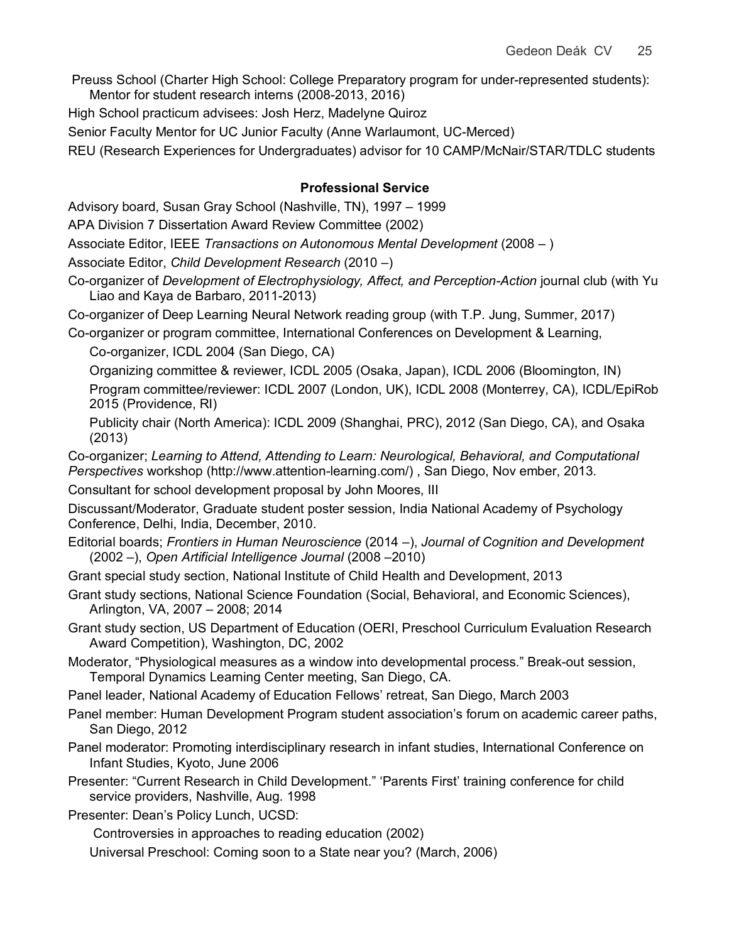Preuss School (Charter High School: College Preparatory program for under-represented students): Mentor for student research interns (2008-2013, 2016)

High School practicum advisees: Josh Herz, Madelyne Quiroz

Senior Faculty Mentor for UC Junior Faculty (Anne Warlaumont, UC-Merced)

REU (Research Experiences for Undergraduates) advisor for 10 CAMP/McNair/STAR/TDLC students

## **Professional Service**

Advisory board, Susan Gray School (Nashville, TN), 1997 – 1999

APA Division 7 Dissertation Award Review Committee (2002)

Associate Editor, IEEE *Transactions on Autonomous Mental Development* (2008 – )

Associate Editor, *Child Development Research* (2010 –)

Co-organizer of *Development of Electrophysiology, Affect, and Perception-Action* journal club (with Yu Liao and Kaya de Barbaro, 2011-2013)

Co-organizer of Deep Learning Neural Network reading group (with T.P. Jung, Summer, 2017)

Co-organizer or program committee, International Conferences on Development & Learning, Co-organizer, ICDL 2004 (San Diego, CA)

Organizing committee & reviewer, ICDL 2005 (Osaka, Japan), ICDL 2006 (Bloomington, IN) Program committee/reviewer: ICDL 2007 (London, UK), ICDL 2008 (Monterrey, CA), ICDL/EpiRob 2015 (Providence, RI)

Publicity chair (North America): ICDL 2009 (Shanghai, PRC), 2012 (San Diego, CA), and Osaka (2013)

Co-organizer; *Learning to Attend, Attending to Learn: Neurological, Behavioral, and Computational Perspectives* workshop (http://www.attention-learning.com/) , San Diego, Nov ember, 2013.

Consultant for school development proposal by John Moores, III

Discussant/Moderator, Graduate student poster session, India National Academy of Psychology Conference, Delhi, India, December, 2010.

Editorial boards; *Frontiers in Human Neuroscience* (2014 –), *Journal of Cognition and Development* (2002 –), *Open Artificial Intelligence Journal* (2008 –2010)

Grant special study section, National Institute of Child Health and Development, 2013

- Grant study sections, National Science Foundation (Social, Behavioral, and Economic Sciences), Arlington, VA, 2007 – 2008; 2014
- Grant study section, US Department of Education (OERI, Preschool Curriculum Evaluation Research Award Competition), Washington, DC, 2002

Moderator, "Physiological measures as a window into developmental process." Break-out session, Temporal Dynamics Learning Center meeting, San Diego, CA.

Panel leader, National Academy of Education Fellows' retreat, San Diego, March 2003

Panel member: Human Development Program student association's forum on academic career paths, San Diego, 2012

Panel moderator: Promoting interdisciplinary research in infant studies, International Conference on Infant Studies, Kyoto, June 2006

Presenter: "Current Research in Child Development." 'Parents First' training conference for child service providers, Nashville, Aug. 1998

Presenter: Dean's Policy Lunch, UCSD:

Controversies in approaches to reading education (2002)

Universal Preschool: Coming soon to a State near you? (March, 2006)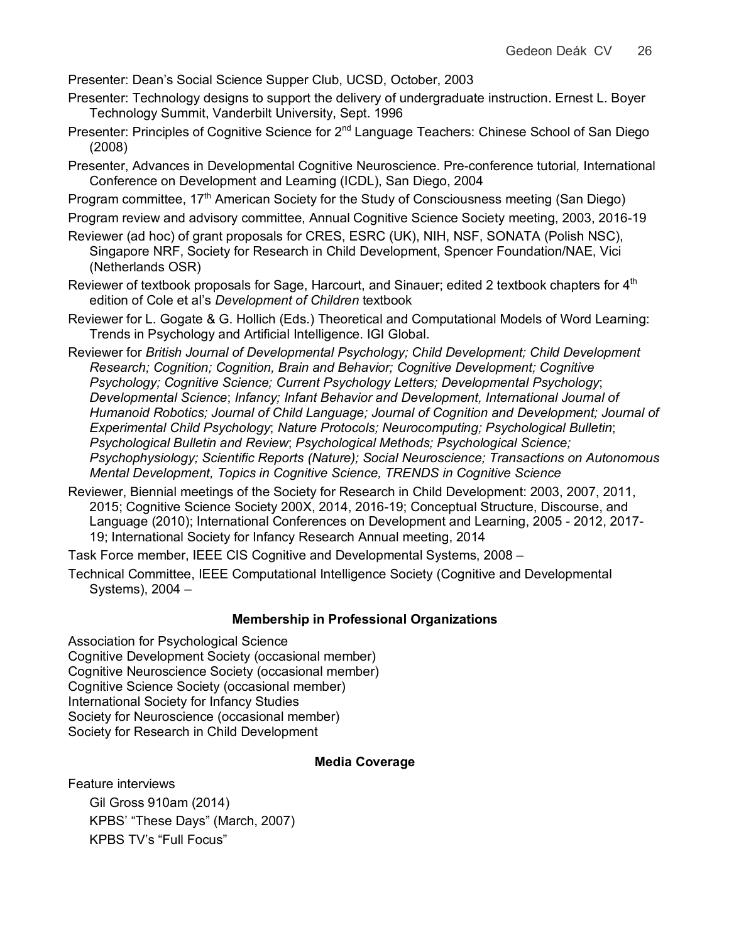Presenter: Dean's Social Science Supper Club, UCSD, October, 2003

- Presenter: Technology designs to support the delivery of undergraduate instruction. Ernest L. Boyer Technology Summit, Vanderbilt University, Sept. 1996
- Presenter: Principles of Cognitive Science for 2<sup>nd</sup> Language Teachers: Chinese School of San Diego (2008)
- Presenter, Advances in Developmental Cognitive Neuroscience. Pre-conference tutorial*,* International Conference on Development and Learning (ICDL), San Diego, 2004
- Program committee, 17<sup>th</sup> American Society for the Study of Consciousness meeting (San Diego)
- Program review and advisory committee, Annual Cognitive Science Society meeting, 2003, 2016-19
- Reviewer (ad hoc) of grant proposals for CRES, ESRC (UK), NIH, NSF, SONATA (Polish NSC), Singapore NRF, Society for Research in Child Development, Spencer Foundation/NAE, Vici (Netherlands OSR)
- Reviewer of textbook proposals for Sage, Harcourt, and Sinauer; edited 2 textbook chapters for  $4<sup>th</sup>$ edition of Cole et al's *Development of Children* textbook
- Reviewer for L. Gogate & G. Hollich (Eds.) Theoretical and Computational Models of Word Learning: Trends in Psychology and Artificial Intelligence. IGI Global.
- Reviewer for *British Journal of Developmental Psychology; Child Development; Child Development Research; Cognition; Cognition, Brain and Behavior; Cognitive Development; Cognitive Psychology; Cognitive Science; Current Psychology Letters; Developmental Psychology*; *Developmental Science*; *Infancy; Infant Behavior and Development, International Journal of Humanoid Robotics; Journal of Child Language; Journal of Cognition and Development; Journal of Experimental Child Psychology*; *Nature Protocols; Neurocomputing; Psychological Bulletin*; *Psychological Bulletin and Review*; *Psychological Methods; Psychological Science; Psychophysiology; Scientific Reports (Nature); Social Neuroscience; Transactions on Autonomous Mental Development, Topics in Cognitive Science, TRENDS in Cognitive Science*
- Reviewer, Biennial meetings of the Society for Research in Child Development: 2003, 2007, 2011, 2015; Cognitive Science Society 200X, 2014, 2016-19; Conceptual Structure, Discourse, and Language (2010); International Conferences on Development and Learning, 2005 - 2012, 2017- 19; International Society for Infancy Research Annual meeting, 2014

Task Force member, IEEE CIS Cognitive and Developmental Systems, 2008 –

Technical Committee, IEEE Computational Intelligence Society (Cognitive and Developmental Systems), 2004 –

## **Membership in Professional Organizations**

Association for Psychological Science Cognitive Development Society (occasional member) Cognitive Neuroscience Society (occasional member) Cognitive Science Society (occasional member) International Society for Infancy Studies Society for Neuroscience (occasional member) Society for Research in Child Development

#### **Media Coverage**

Feature interviews

Gil Gross 910am (2014) KPBS' "These Days" (March, 2007) KPBS TV's "Full Focus"